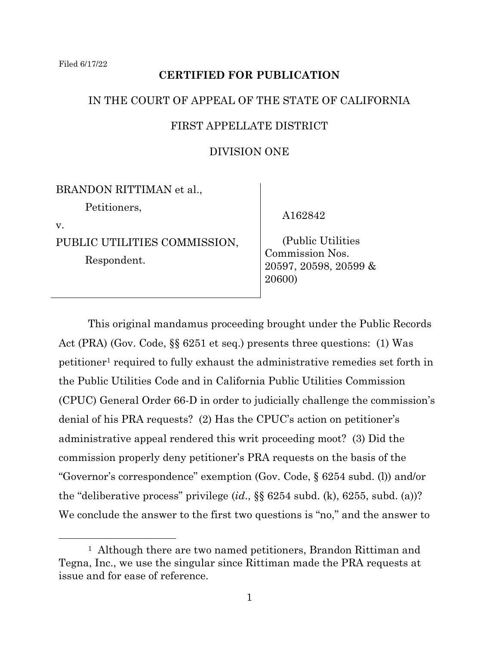# **CERTIFIED FOR PUBLICATION**

### IN THE COURT OF APPEAL OF THE STATE OF CALIFORNIA

### FIRST APPELLATE DISTRICT

## DIVISION ONE

BRANDON RITTIMAN et al., Petitioners, v.

PUBLIC UTILITIES COMMISSION,

Respondent.

A162842

 (Public Utilities Commission Nos. 20597, 20598, 20599 & 20600)

This original mandamus proceeding brought under the Public Records Act (PRA) (Gov. Code, §§ 6251 et seq.) presents three questions: (1) Was petitioner<sup>1</sup> required to fully exhaust the administrative remedies set forth in the Public Utilities Code and in California Public Utilities Commission (CPUC) General Order 66-D in order to judicially challenge the commission's denial of his PRA requests? (2) Has the CPUC's action on petitioner's administrative appeal rendered this writ proceeding moot? (3) Did the commission properly deny petitioner's PRA requests on the basis of the "Governor's correspondence" exemption (Gov. Code, § 6254 subd. (l)) and/or the "deliberative process" privilege (*id*., §§ 6254 subd. (k), 6255, subd. (a))? We conclude the answer to the first two questions is "no," and the answer to

<sup>&</sup>lt;sup>1</sup> Although there are two named petitioners, Brandon Rittiman and Tegna, Inc., we use the singular since Rittiman made the PRA requests at issue and for ease of reference.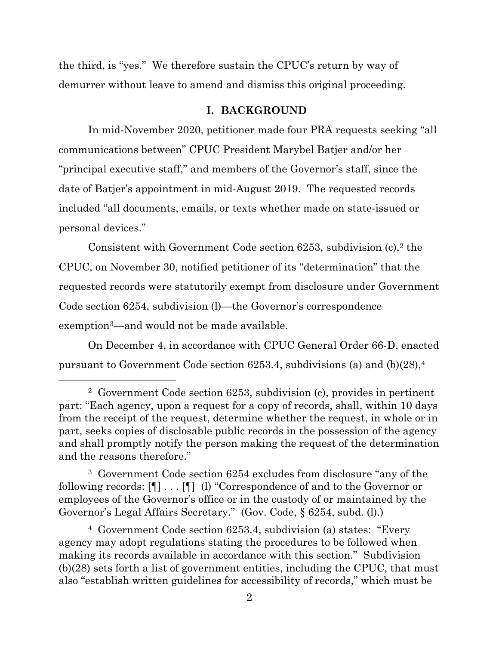the third, is "yes." We therefore sustain the CPUC's return by way of demurrer without leave to amend and dismiss this original proceeding.

#### **I. BACKGROUND**

In mid-November 2020, petitioner made four PRA requests seeking "all communications between" CPUC President Marybel Batjer and/or her "principal executive staff," and members of the Governor's staff, since the date of Batjer's appointment in mid-August 2019. The requested records included "all documents, emails, or texts whether made on state-issued or personal devices."

Consistent with Government Code section  $6253$ , subdivision  $(c)$ ,  $2$  the CPUC, on November 30, notified petitioner of its "determination" that the requested records were statutorily exempt from disclosure under Government Code section 6254, subdivision (l)—the Governor's correspondence exemption3—and would not be made available.

On December 4, in accordance with CPUC General Order 66-D, enacted pursuant to Government Code section 6253.4, subdivisions (a) and  $(b)(28)^4$ 

<sup>3</sup> Government Code section 6254 excludes from disclosure "any of the following records: [¶] . . . [¶] (l) "Correspondence of and to the Governor or employees of the Governor's office or in the custody of or maintained by the Governor's Legal Affairs Secretary." (Gov. Code, § 6254, subd. (l).)

<sup>4</sup> Government Code section 6253.4, subdivision (a) states: "Every agency may adopt regulations stating the procedures to be followed when making its records available in accordance with this section." Subdivision (b)(28) sets forth a list of government entities, including the CPUC, that must also "establish written guidelines for accessibility of records," which must be

<sup>2</sup> Government Code section 6253, subdivision (c), provides in pertinent part: "Each agency, upon a request for a copy of records, shall, within 10 days from the receipt of the request, determine whether the request, in whole or in part, seeks copies of disclosable public records in the possession of the agency and shall promptly notify the person making the request of the determination and the reasons therefore."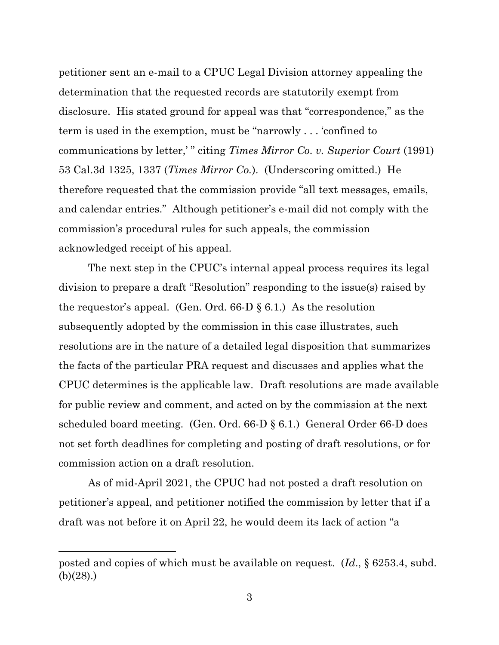petitioner sent an e-mail to a CPUC Legal Division attorney appealing the determination that the requested records are statutorily exempt from disclosure. His stated ground for appeal was that "correspondence," as the term is used in the exemption, must be "narrowly . . . 'confined to communications by letter,' " citing *Times Mirror Co. v. Superior Court* (1991) 53 Cal.3d 1325, 1337 (*Times Mirror Co.*). (Underscoring omitted.) He therefore requested that the commission provide "all text messages, emails, and calendar entries." Although petitioner's e-mail did not comply with the commission's procedural rules for such appeals, the commission acknowledged receipt of his appeal.

The next step in the CPUC's internal appeal process requires its legal division to prepare a draft "Resolution" responding to the issue(s) raised by the requestor's appeal. (Gen. Ord.  $66-D \S 6.1$ .) As the resolution subsequently adopted by the commission in this case illustrates, such resolutions are in the nature of a detailed legal disposition that summarizes the facts of the particular PRA request and discusses and applies what the CPUC determines is the applicable law. Draft resolutions are made available for public review and comment, and acted on by the commission at the next scheduled board meeting. (Gen. Ord. 66-D § 6.1.) General Order 66-D does not set forth deadlines for completing and posting of draft resolutions, or for commission action on a draft resolution.

As of mid-April 2021, the CPUC had not posted a draft resolution on petitioner's appeal, and petitioner notified the commission by letter that if a draft was not before it on April 22, he would deem its lack of action "a

posted and copies of which must be available on request. (*Id*., § 6253.4, subd. (b)(28).)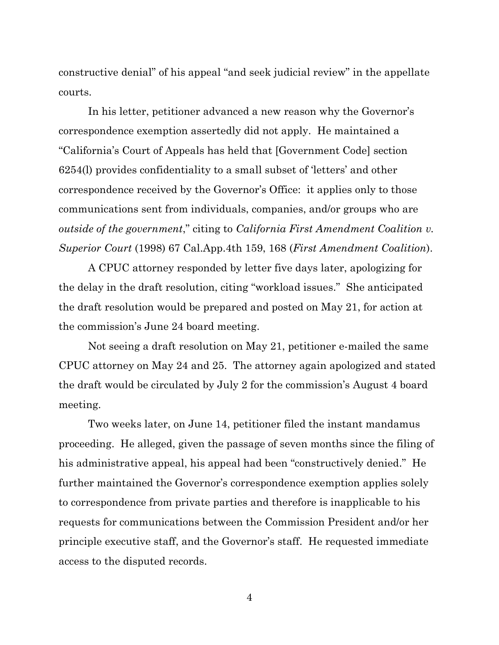constructive denial" of his appeal "and seek judicial review" in the appellate courts.

In his letter, petitioner advanced a new reason why the Governor's correspondence exemption assertedly did not apply. He maintained a "California's Court of Appeals has held that [Government Code] section 6254(l) provides confidentiality to a small subset of 'letters' and other correspondence received by the Governor's Office: it applies only to those communications sent from individuals, companies, and/or groups who are *outside of the government*," citing to *California First Amendment Coalition v. Superior Court* (1998) 67 Cal.App.4th 159, 168 (*First Amendment Coalition*).

A CPUC attorney responded by letter five days later, apologizing for the delay in the draft resolution, citing "workload issues." She anticipated the draft resolution would be prepared and posted on May 21, for action at the commission's June 24 board meeting.

Not seeing a draft resolution on May 21, petitioner e-mailed the same CPUC attorney on May 24 and 25. The attorney again apologized and stated the draft would be circulated by July 2 for the commission's August 4 board meeting.

Two weeks later, on June 14, petitioner filed the instant mandamus proceeding. He alleged, given the passage of seven months since the filing of his administrative appeal, his appeal had been "constructively denied." He further maintained the Governor's correspondence exemption applies solely to correspondence from private parties and therefore is inapplicable to his requests for communications between the Commission President and/or her principle executive staff, and the Governor's staff. He requested immediate access to the disputed records.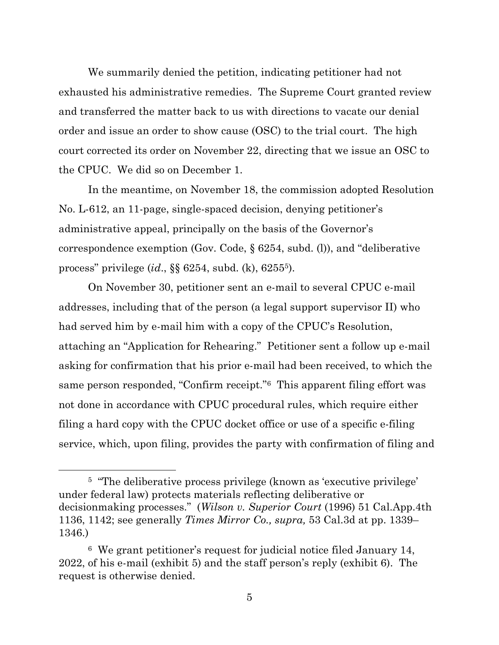We summarily denied the petition, indicating petitioner had not exhausted his administrative remedies. The Supreme Court granted review and transferred the matter back to us with directions to vacate our denial order and issue an order to show cause (OSC) to the trial court. The high court corrected its order on November 22, directing that we issue an OSC to the CPUC. We did so on December 1.

In the meantime, on November 18, the commission adopted Resolution No. L-612, an 11-page, single-spaced decision, denying petitioner's administrative appeal, principally on the basis of the Governor's correspondence exemption (Gov. Code, § 6254, subd. (l)), and "deliberative process" privilege (*id*., §§ 6254, subd. (k), 62555).

On November 30, petitioner sent an e-mail to several CPUC e-mail addresses, including that of the person (a legal support supervisor II) who had served him by e-mail him with a copy of the CPUC's Resolution, attaching an "Application for Rehearing." Petitioner sent a follow up e-mail asking for confirmation that his prior e-mail had been received, to which the same person responded, "Confirm receipt."6 This apparent filing effort was not done in accordance with CPUC procedural rules, which require either filing a hard copy with the CPUC docket office or use of a specific e-filing service, which, upon filing, provides the party with confirmation of filing and

<sup>&</sup>lt;sup>5</sup> "The deliberative process privilege (known as 'executive privilege' under federal law) protects materials reflecting deliberative or decisionmaking processes." (*Wilson v. Superior Court* (1996) 51 Cal.App.4th 1136, 1142; see generally *Times Mirror Co., supra,* 53 Cal.3d at pp. 1339– 1346.)

<sup>6</sup> We grant petitioner's request for judicial notice filed January 14, 2022, of his e-mail (exhibit 5) and the staff person's reply (exhibit 6). The request is otherwise denied.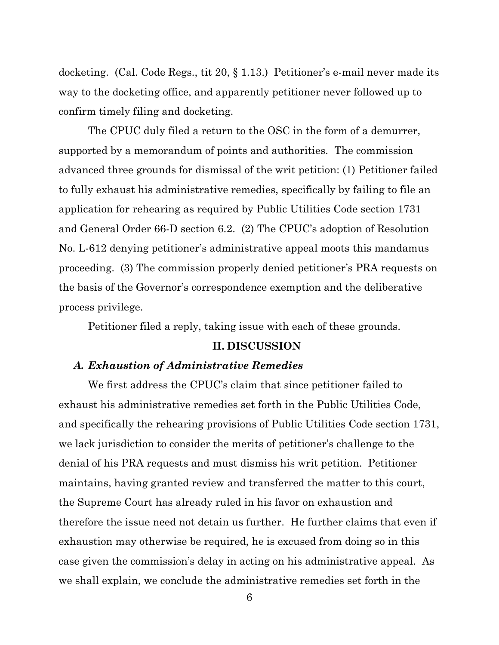docketing. (Cal. Code Regs., tit 20, § 1.13.) Petitioner's e-mail never made its way to the docketing office, and apparently petitioner never followed up to confirm timely filing and docketing.

The CPUC duly filed a return to the OSC in the form of a demurrer, supported by a memorandum of points and authorities. The commission advanced three grounds for dismissal of the writ petition: (1) Petitioner failed to fully exhaust his administrative remedies, specifically by failing to file an application for rehearing as required by Public Utilities Code section 1731 and General Order 66-D section 6.2. (2) The CPUC's adoption of Resolution No. L-612 denying petitioner's administrative appeal moots this mandamus proceeding. (3) The commission properly denied petitioner's PRA requests on the basis of the Governor's correspondence exemption and the deliberative process privilege.

Petitioner filed a reply, taking issue with each of these grounds.

#### **II. DISCUSSION**

#### *A. Exhaustion of Administrative Remedies*

We first address the CPUC's claim that since petitioner failed to exhaust his administrative remedies set forth in the Public Utilities Code, and specifically the rehearing provisions of Public Utilities Code section 1731, we lack jurisdiction to consider the merits of petitioner's challenge to the denial of his PRA requests and must dismiss his writ petition. Petitioner maintains, having granted review and transferred the matter to this court, the Supreme Court has already ruled in his favor on exhaustion and therefore the issue need not detain us further. He further claims that even if exhaustion may otherwise be required, he is excused from doing so in this case given the commission's delay in acting on his administrative appeal. As we shall explain, we conclude the administrative remedies set forth in the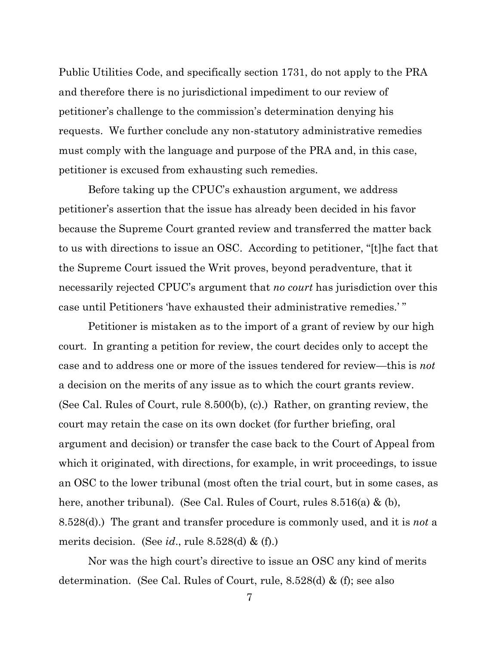Public Utilities Code, and specifically section 1731, do not apply to the PRA and therefore there is no jurisdictional impediment to our review of petitioner's challenge to the commission's determination denying his requests. We further conclude any non-statutory administrative remedies must comply with the language and purpose of the PRA and, in this case, petitioner is excused from exhausting such remedies.

Before taking up the CPUC's exhaustion argument, we address petitioner's assertion that the issue has already been decided in his favor because the Supreme Court granted review and transferred the matter back to us with directions to issue an OSC. According to petitioner, "[t]he fact that the Supreme Court issued the Writ proves, beyond peradventure, that it necessarily rejected CPUC's argument that *no court* has jurisdiction over this case until Petitioners 'have exhausted their administrative remedies.' "

Petitioner is mistaken as to the import of a grant of review by our high court. In granting a petition for review, the court decides only to accept the case and to address one or more of the issues tendered for review—this is *not*  a decision on the merits of any issue as to which the court grants review. (See Cal. Rules of Court, rule 8.500(b), (c).) Rather, on granting review, the court may retain the case on its own docket (for further briefing, oral argument and decision) or transfer the case back to the Court of Appeal from which it originated, with directions, for example, in writ proceedings, to issue an OSC to the lower tribunal (most often the trial court, but in some cases, as here, another tribunal). (See Cal. Rules of Court, rules 8.516(a) & (b), 8.528(d).) The grant and transfer procedure is commonly used, and it is *not* a merits decision. (See *id*., rule 8.528(d) & (f).)

Nor was the high court's directive to issue an OSC any kind of merits determination. (See Cal. Rules of Court, rule, 8.528(d) & (f); see also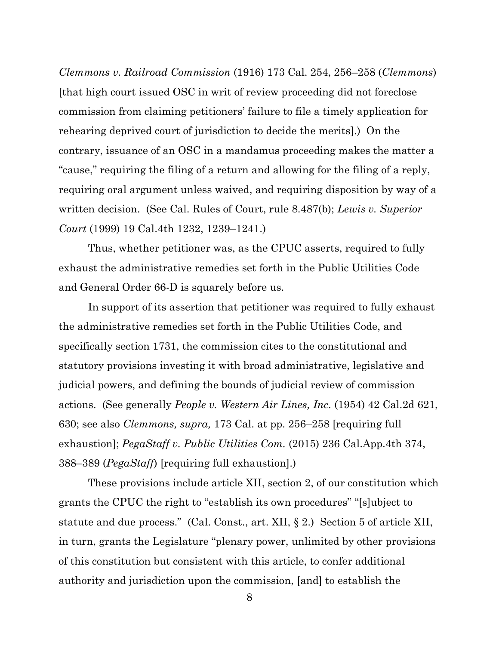*Clemmons v. Railroad Commission* (1916) 173 Cal. 254, 256–258 (*Clemmons*) [that high court issued OSC in writ of review proceeding did not foreclose commission from claiming petitioners' failure to file a timely application for rehearing deprived court of jurisdiction to decide the merits].) On the contrary, issuance of an OSC in a mandamus proceeding makes the matter a "cause," requiring the filing of a return and allowing for the filing of a reply, requiring oral argument unless waived, and requiring disposition by way of a written decision. (See Cal. Rules of Court, rule 8.487(b); *Lewis v. Superior Court* (1999) 19 Cal.4th 1232, 1239–1241.)

Thus, whether petitioner was, as the CPUC asserts, required to fully exhaust the administrative remedies set forth in the Public Utilities Code and General Order 66-D is squarely before us.

In support of its assertion that petitioner was required to fully exhaust the administrative remedies set forth in the Public Utilities Code, and specifically section 1731, the commission cites to the constitutional and statutory provisions investing it with broad administrative, legislative and judicial powers, and defining the bounds of judicial review of commission actions. (See generally *People v. Western Air Lines, Inc.* (1954) 42 Cal.2d 621, 630; see also *Clemmons, supra,* 173 Cal. at pp. 256–258 [requiring full exhaustion]; *PegaStaff v. Public Utilities Com.* (2015) 236 Cal.App.4th 374, 388–389 (*PegaStaff*) [requiring full exhaustion].)

These provisions include article XII, section 2, of our constitution which grants the CPUC the right to "establish its own procedures" "[s]ubject to statute and due process." (Cal. Const., art. XII, § 2.) Section 5 of article XII, in turn, grants the Legislature "plenary power, unlimited by other provisions of this constitution but consistent with this article, to confer additional authority and jurisdiction upon the commission, [and] to establish the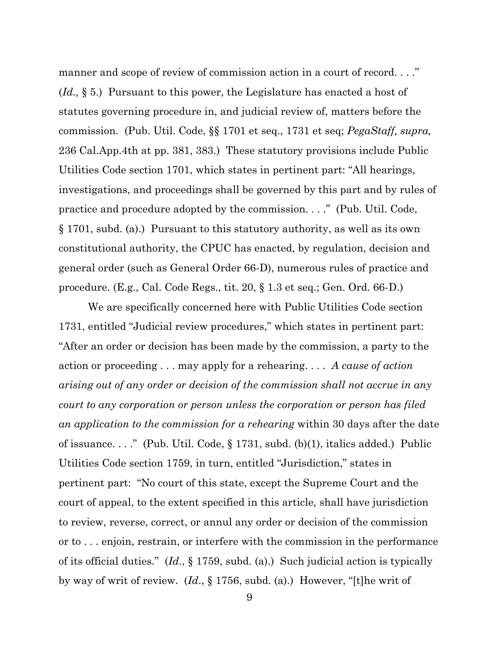manner and scope of review of commission action in a court of record...." (*Id.,* § 5.) Pursuant to this power, the Legislature has enacted a host of statutes governing procedure in, and judicial review of, matters before the commission. (Pub. Util. Code, §§ 1701 et seq., 1731 et seq; *PegaStaff, supra,*  236 Cal.App.4th at pp. 381, 383.) These statutory provisions include Public Utilities Code section 1701, which states in pertinent part: "All hearings, investigations, and proceedings shall be governed by this part and by rules of practice and procedure adopted by the commission. . . ." (Pub. Util. Code, § 1701, subd. (a).) Pursuant to this statutory authority, as well as its own constitutional authority, the CPUC has enacted, by regulation, decision and general order (such as General Order 66-D), numerous rules of practice and procedure. (E.g., Cal. Code Regs., tit. 20, § 1.3 et seq.; Gen. Ord. 66-D.)

We are specifically concerned here with Public Utilities Code section 1731, entitled "Judicial review procedures," which states in pertinent part: "After an order or decision has been made by the commission, a party to the action or proceeding . . . may apply for a rehearing. . . . *A cause of action arising out of any order or decision of the commission shall not accrue in any court to any corporation or person unless the corporation or person has filed an application to the commission for a rehearing* within 30 days after the date of issuance. . . ." (Pub. Util. Code, § 1731, subd. (b)(1), italics added.) Public Utilities Code section 1759, in turn, entitled "Jurisdiction," states in pertinent part: "No court of this state, except the Supreme Court and the court of appeal, to the extent specified in this article*,* shall have jurisdiction to review, reverse, correct, or annul any order or decision of the commission or to . . . enjoin, restrain, or interfere with the commission in the performance of its official duties." (*Id*., § 1759, subd. (a).) Such judicial action is typically by way of writ of review. (*Id*., § 1756, subd. (a).) However, "[t]he writ of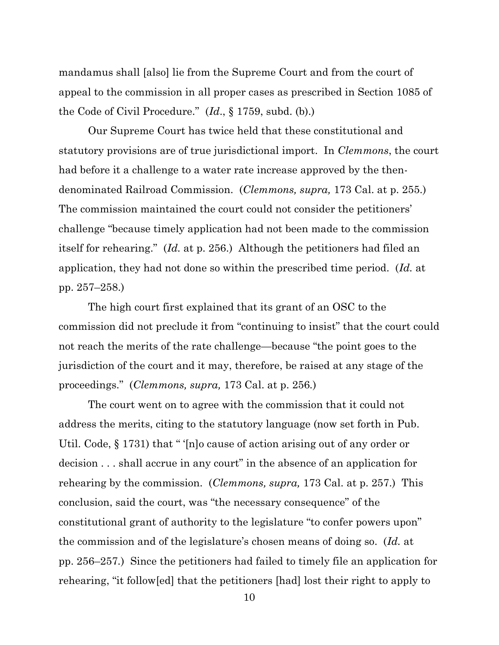mandamus shall [also] lie from the Supreme Court and from the court of appeal to the commission in all proper cases as prescribed in Section 1085 of the Code of Civil Procedure." (*Id*., § 1759, subd. (b).)

Our Supreme Court has twice held that these constitutional and statutory provisions are of true jurisdictional import. In *Clemmons*, the court had before it a challenge to a water rate increase approved by the thendenominated Railroad Commission. (*Clemmons, supra,* 173 Cal. at p. 255.) The commission maintained the court could not consider the petitioners' challenge "because timely application had not been made to the commission itself for rehearing." (*Id.* at p. 256.) Although the petitioners had filed an application, they had not done so within the prescribed time period. (*Id.* at pp. 257–258.)

The high court first explained that its grant of an OSC to the commission did not preclude it from "continuing to insist" that the court could not reach the merits of the rate challenge—because "the point goes to the jurisdiction of the court and it may, therefore, be raised at any stage of the proceedings." (*Clemmons, supra,* 173 Cal. at p. 256*.*)

The court went on to agree with the commission that it could not address the merits, citing to the statutory language (now set forth in Pub. Util. Code, § 1731) that " '[n]o cause of action arising out of any order or decision . . . shall accrue in any court" in the absence of an application for rehearing by the commission. (*Clemmons, supra,* 173 Cal. at p. 257.) This conclusion, said the court, was "the necessary consequence" of the constitutional grant of authority to the legislature "to confer powers upon" the commission and of the legislature's chosen means of doing so. (*Id.* at pp. 256–257*.*) Since the petitioners had failed to timely file an application for rehearing, "it follow[ed] that the petitioners [had] lost their right to apply to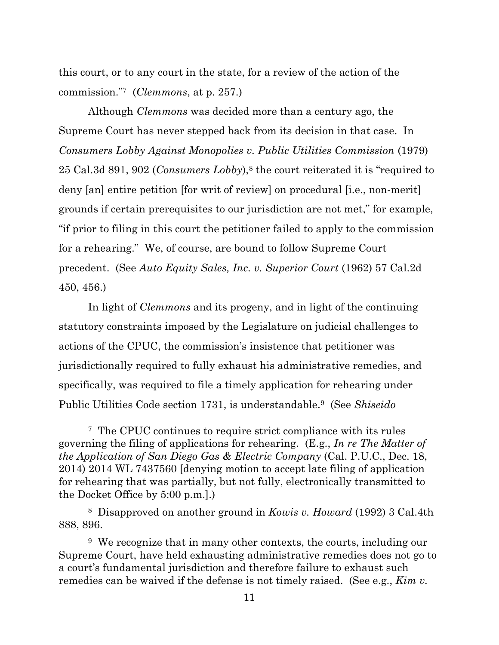this court, or to any court in the state, for a review of the action of the commission."7 (*Clemmons*, at p. 257.)

Although *Clemmons* was decided more than a century ago, the Supreme Court has never stepped back from its decision in that case. In *Consumers Lobby Against Monopolies v. Public Utilities Commission* (1979) 25 Cal.3d 891, 902 (*Consumers Lobby*), <sup>8</sup> the court reiterated it is "required to deny [an] entire petition [for writ of review] on procedural [i.e., non-merit] grounds if certain prerequisites to our jurisdiction are not met," for example, "if prior to filing in this court the petitioner failed to apply to the commission for a rehearing." We, of course, are bound to follow Supreme Court precedent. (See *Auto Equity Sales, Inc. v. Superior Court* (1962) 57 Cal.2d 450, 456.)

In light of *Clemmons* and its progeny, and in light of the continuing statutory constraints imposed by the Legislature on judicial challenges to actions of the CPUC, the commission's insistence that petitioner was jurisdictionally required to fully exhaust his administrative remedies, and specifically, was required to file a timely application for rehearing under Public Utilities Code section 1731, is understandable.9 (See *Shiseido* 

<sup>7</sup> The CPUC continues to require strict compliance with its rules governing the filing of applications for rehearing. (E.g., *In re The Matter of the Application of San Diego Gas & Electric Company* (Cal. P.U.C., Dec. 18, 2014) 2014 WL 7437560 [denying motion to accept late filing of application for rehearing that was partially, but not fully, electronically transmitted to the Docket Office by 5:00 p.m.].)

<sup>8</sup> Disapproved on another ground in *Kowis v. Howard* (1992) 3 Cal.4th 888, 896.

<sup>&</sup>lt;sup>9</sup> We recognize that in many other contexts, the courts, including our Supreme Court, have held exhausting administrative remedies does not go to a court's fundamental jurisdiction and therefore failure to exhaust such remedies can be waived if the defense is not timely raised. (See e.g., *Kim v.*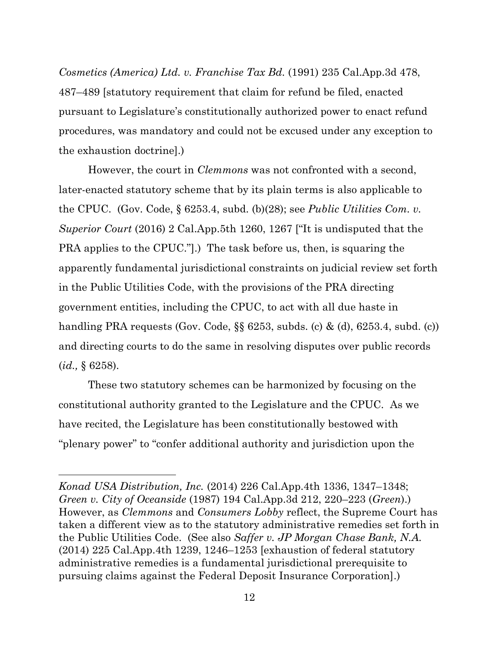*Cosmetics (America) Ltd. v. Franchise Tax Bd.* (1991) 235 Cal.App.3d 478, 487–489 [statutory requirement that claim for refund be filed, enacted pursuant to Legislature's constitutionally authorized power to enact refund procedures, was mandatory and could not be excused under any exception to the exhaustion doctrine].)

However, the court in *Clemmons* was not confronted with a second, later-enacted statutory scheme that by its plain terms is also applicable to the CPUC. (Gov. Code, § 6253.4, subd. (b)(28); see *Public Utilities Com. v. Superior Court* (2016) 2 Cal.App.5th 1260, 1267 ["It is undisputed that the PRA applies to the CPUC."].) The task before us, then, is squaring the apparently fundamental jurisdictional constraints on judicial review set forth in the Public Utilities Code, with the provisions of the PRA directing government entities, including the CPUC, to act with all due haste in handling PRA requests (Gov. Code, §§ 6253, subds. (c) & (d), 6253.4, subd. (c)) and directing courts to do the same in resolving disputes over public records (*id.,* § 6258).

These two statutory schemes can be harmonized by focusing on the constitutional authority granted to the Legislature and the CPUC. As we have recited, the Legislature has been constitutionally bestowed with "plenary power" to "confer additional authority and jurisdiction upon the

*Konad USA Distribution, Inc.* (2014) 226 Cal.App.4th 1336, 1347–1348; *Green v. City of Oceanside* (1987) 194 Cal.App.3d 212, 220–223 (*Green*).) However, as *Clemmons* and *Consumers Lobby* reflect, the Supreme Court has taken a different view as to the statutory administrative remedies set forth in the Public Utilities Code. (See also *Saffer v. JP Morgan Chase Bank, N.A.*  (2014) 225 Cal.App.4th 1239, 1246–1253 [exhaustion of federal statutory administrative remedies is a fundamental jurisdictional prerequisite to pursuing claims against the Federal Deposit Insurance Corporation].)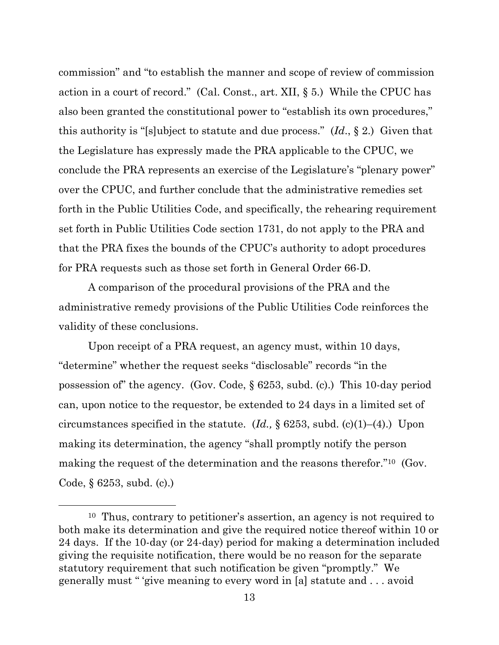commission" and "to establish the manner and scope of review of commission action in a court of record." (Cal. Const., art. XII, § 5.) While the CPUC has also been granted the constitutional power to "establish its own procedures," this authority is "[s]ubject to statute and due process." (*Id*., § 2.) Given that the Legislature has expressly made the PRA applicable to the CPUC, we conclude the PRA represents an exercise of the Legislature's "plenary power" over the CPUC, and further conclude that the administrative remedies set forth in the Public Utilities Code, and specifically, the rehearing requirement set forth in Public Utilities Code section 1731, do not apply to the PRA and that the PRA fixes the bounds of the CPUC's authority to adopt procedures for PRA requests such as those set forth in General Order 66-D.

A comparison of the procedural provisions of the PRA and the administrative remedy provisions of the Public Utilities Code reinforces the validity of these conclusions.

Upon receipt of a PRA request, an agency must, within 10 days, "determine" whether the request seeks "disclosable" records "in the possession of" the agency. (Gov. Code, § 6253, subd. (c).) This 10-day period can, upon notice to the requestor, be extended to 24 days in a limited set of circumstances specified in the statute. (*Id.,* § 6253, subd. (c)(1)–(4).) Upon making its determination, the agency "shall promptly notify the person making the request of the determination and the reasons therefor."<sup>10</sup> (Gov. Code, § 6253, subd. (c).)

<sup>10</sup> Thus, contrary to petitioner's assertion, an agency is not required to both make its determination and give the required notice thereof within 10 or 24 days. If the 10-day (or 24-day) period for making a determination included giving the requisite notification, there would be no reason for the separate statutory requirement that such notification be given "promptly." We generally must " 'give meaning to every word in [a] statute and . . . avoid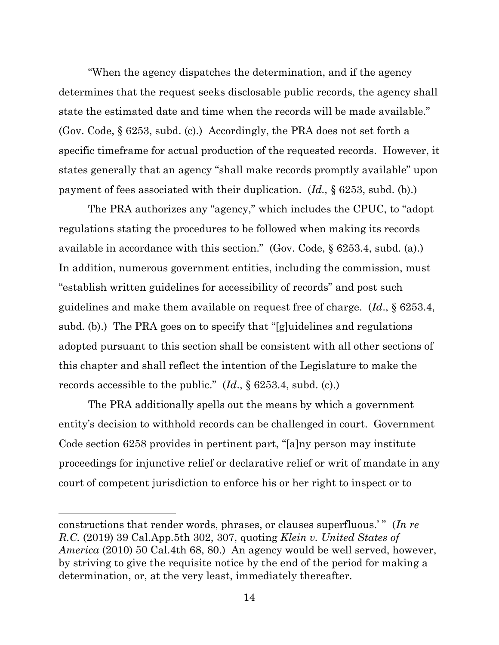"When the agency dispatches the determination, and if the agency determines that the request seeks disclosable public records, the agency shall state the estimated date and time when the records will be made available." (Gov. Code, § 6253, subd. (c).) Accordingly, the PRA does not set forth a specific timeframe for actual production of the requested records. However, it states generally that an agency "shall make records promptly available" upon payment of fees associated with their duplication. (*Id.,* § 6253, subd. (b).)

The PRA authorizes any "agency," which includes the CPUC, to "adopt regulations stating the procedures to be followed when making its records available in accordance with this section." (Gov. Code, § 6253.4, subd. (a).) In addition, numerous government entities, including the commission, must "establish written guidelines for accessibility of records" and post such guidelines and make them available on request free of charge. (*Id*., § 6253.4, subd. (b).) The PRA goes on to specify that "[g]uidelines and regulations adopted pursuant to this section shall be consistent with all other sections of this chapter and shall reflect the intention of the Legislature to make the records accessible to the public." (*Id*., § 6253.4, subd. (c).)

The PRA additionally spells out the means by which a government entity's decision to withhold records can be challenged in court. Government Code section 6258 provides in pertinent part, "[a]ny person may institute proceedings for injunctive relief or declarative relief or writ of mandate in any court of competent jurisdiction to enforce his or her right to inspect or to

constructions that render words, phrases, or clauses superfluous.' " (*In re R.C.* (2019) 39 Cal.App.5th 302, 307, quoting *Klein v. United States of America* (2010) 50 Cal.4th 68, 80.) An agency would be well served, however, by striving to give the requisite notice by the end of the period for making a determination, or, at the very least, immediately thereafter.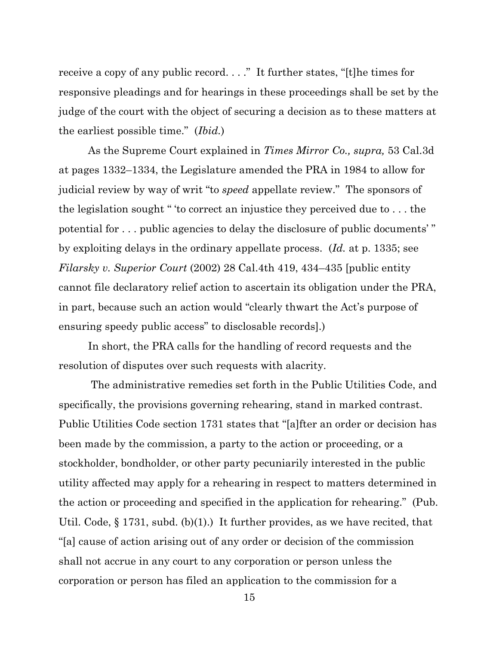receive a copy of any public record. . . ." It further states, "[t]he times for responsive pleadings and for hearings in these proceedings shall be set by the judge of the court with the object of securing a decision as to these matters at the earliest possible time." (*Ibid.*)

As the Supreme Court explained in *Times Mirror Co., supra,* 53 Cal.3d at pages 1332–1334, the Legislature amended the PRA in 1984 to allow for judicial review by way of writ "to *speed* appellate review." The sponsors of the legislation sought " 'to correct an injustice they perceived due to . . . the potential for . . . public agencies to delay the disclosure of public documents' " by exploiting delays in the ordinary appellate process. (*Id.* at p. 1335; see *Filarsky v. Superior Court* (2002) 28 Cal.4th 419, 434–435 [public entity cannot file declaratory relief action to ascertain its obligation under the PRA, in part, because such an action would "clearly thwart the Act's purpose of ensuring speedy public access" to disclosable records].)

In short, the PRA calls for the handling of record requests and the resolution of disputes over such requests with alacrity.

The administrative remedies set forth in the Public Utilities Code, and specifically, the provisions governing rehearing, stand in marked contrast. Public Utilities Code section 1731 states that "[a]fter an order or decision has been made by the commission, a party to the action or proceeding, or a stockholder, bondholder, or other party pecuniarily interested in the public utility affected may apply for a rehearing in respect to matters determined in the action or proceeding and specified in the application for rehearing." (Pub. Util. Code, § 1731, subd. (b)(1).) It further provides, as we have recited, that "[a] cause of action arising out of any order or decision of the commission shall not accrue in any court to any corporation or person unless the corporation or person has filed an application to the commission for a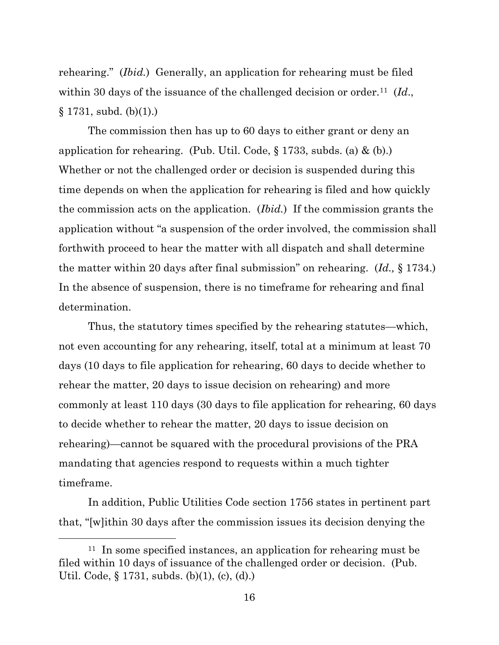rehearing." (*Ibid.*) Generally, an application for rehearing must be filed within 30 days of the issuance of the challenged decision or order.<sup>11</sup> (*Id.*,  $§ 1731, subd. (b)(1).)$ 

The commission then has up to 60 days to either grant or deny an application for rehearing. (Pub. Util. Code,  $\S 1733$ , subds. (a) & (b).) Whether or not the challenged order or decision is suspended during this time depends on when the application for rehearing is filed and how quickly the commission acts on the application. (*Ibid.*) If the commission grants the application without "a suspension of the order involved, the commission shall forthwith proceed to hear the matter with all dispatch and shall determine the matter within 20 days after final submission" on rehearing. (*Id.,* § 1734.) In the absence of suspension, there is no timeframe for rehearing and final determination.

Thus, the statutory times specified by the rehearing statutes—which, not even accounting for any rehearing, itself, total at a minimum at least 70 days (10 days to file application for rehearing, 60 days to decide whether to rehear the matter, 20 days to issue decision on rehearing) and more commonly at least 110 days (30 days to file application for rehearing, 60 days to decide whether to rehear the matter, 20 days to issue decision on rehearing)—cannot be squared with the procedural provisions of the PRA mandating that agencies respond to requests within a much tighter timeframe.

In addition, Public Utilities Code section 1756 states in pertinent part that, "[w]ithin 30 days after the commission issues its decision denying the

<sup>&</sup>lt;sup>11</sup> In some specified instances, an application for rehearing must be filed within 10 days of issuance of the challenged order or decision. (Pub. Util. Code, § 1731, subds. (b)(1), (c), (d).)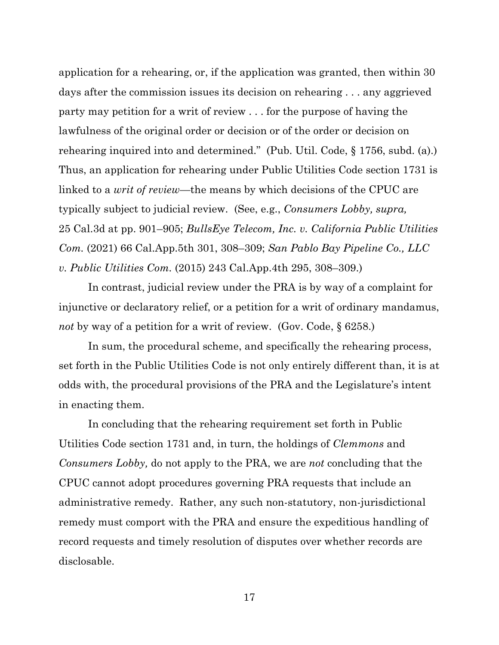application for a rehearing, or, if the application was granted, then within 30 days after the commission issues its decision on rehearing . . . any aggrieved party may petition for a writ of review . . . for the purpose of having the lawfulness of the original order or decision or of the order or decision on rehearing inquired into and determined." (Pub. Util. Code, § 1756, subd. (a).) Thus, an application for rehearing under Public Utilities Code section 1731 is linked to a *writ of review*—the means by which decisions of the CPUC are typically subject to judicial review. (See, e.g., *Consumers Lobby, supra,*  25 Cal.3d at pp. 901–905; *BullsEye Telecom, Inc. v. California Public Utilities Com.* (2021) 66 Cal.App.5th 301, 308–309; *San Pablo Bay Pipeline Co., LLC v. Public Utilities Com.* (2015) 243 Cal.App.4th 295, 308–309.)

In contrast, judicial review under the PRA is by way of a complaint for injunctive or declaratory relief, or a petition for a writ of ordinary mandamus, *not* by way of a petition for a writ of review. (Gov. Code, § 6258.)

In sum, the procedural scheme, and specifically the rehearing process, set forth in the Public Utilities Code is not only entirely different than, it is at odds with, the procedural provisions of the PRA and the Legislature's intent in enacting them.

In concluding that the rehearing requirement set forth in Public Utilities Code section 1731 and, in turn, the holdings of *Clemmons* and *Consumers Lobby,* do not apply to the PRA, we are *not* concluding that the CPUC cannot adopt procedures governing PRA requests that include an administrative remedy. Rather, any such non-statutory, non-jurisdictional remedy must comport with the PRA and ensure the expeditious handling of record requests and timely resolution of disputes over whether records are disclosable.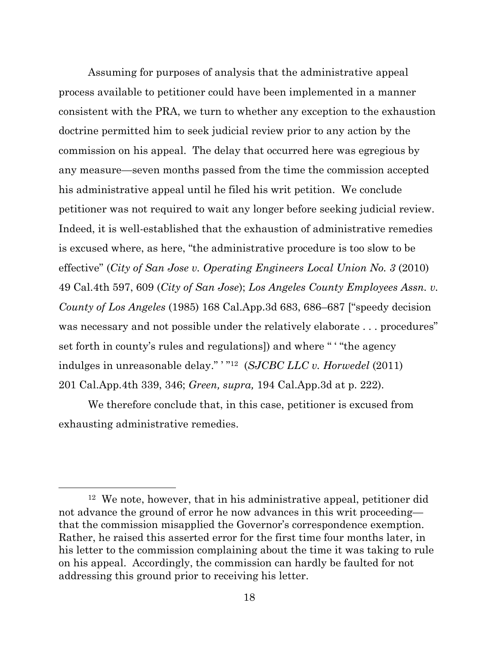Assuming for purposes of analysis that the administrative appeal process available to petitioner could have been implemented in a manner consistent with the PRA, we turn to whether any exception to the exhaustion doctrine permitted him to seek judicial review prior to any action by the commission on his appeal. The delay that occurred here was egregious by any measure—seven months passed from the time the commission accepted his administrative appeal until he filed his writ petition. We conclude petitioner was not required to wait any longer before seeking judicial review. Indeed, it is well-established that the exhaustion of administrative remedies is excused where, as here, "the administrative procedure is too slow to be effective" (*City of San Jose v. Operating Engineers Local Union No. 3* (2010) 49 Cal.4th 597, 609 (*City of San Jose*); *Los Angeles County Employees Assn. v. County of Los Angeles* (1985) 168 Cal.App.3d 683, 686–687 ["speedy decision was necessary and not possible under the relatively elaborate . . . procedures" set forth in county's rules and regulations]) and where " ' "the agency indulges in unreasonable delay." ' " <sup>12</sup> (*SJCBC LLC v. Horwedel* (2011) 201 Cal.App.4th 339, 346; *Green, supra,* 194 Cal.App.3d at p. 222).

We therefore conclude that, in this case, petitioner is excused from exhausting administrative remedies.

<sup>12</sup> We note, however, that in his administrative appeal, petitioner did not advance the ground of error he now advances in this writ proceeding that the commission misapplied the Governor's correspondence exemption. Rather, he raised this asserted error for the first time four months later, in his letter to the commission complaining about the time it was taking to rule on his appeal. Accordingly, the commission can hardly be faulted for not addressing this ground prior to receiving his letter.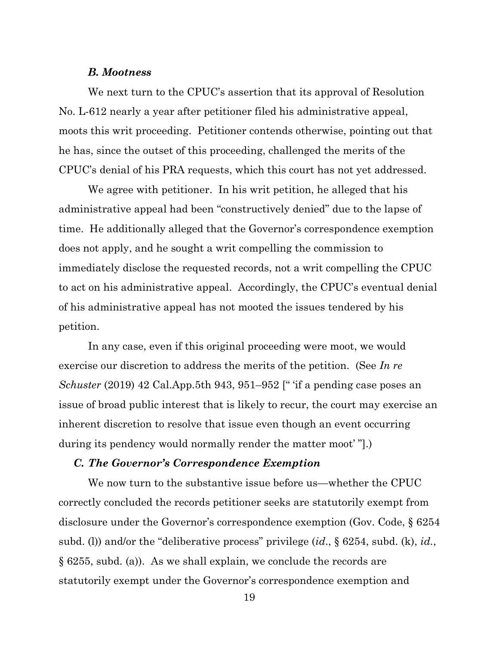### *B. Mootness*

We next turn to the CPUC's assertion that its approval of Resolution No. L-612 nearly a year after petitioner filed his administrative appeal, moots this writ proceeding. Petitioner contends otherwise, pointing out that he has, since the outset of this proceeding, challenged the merits of the CPUC's denial of his PRA requests, which this court has not yet addressed.

We agree with petitioner. In his writ petition, he alleged that his administrative appeal had been "constructively denied" due to the lapse of time. He additionally alleged that the Governor's correspondence exemption does not apply, and he sought a writ compelling the commission to immediately disclose the requested records, not a writ compelling the CPUC to act on his administrative appeal. Accordingly, the CPUC's eventual denial of his administrative appeal has not mooted the issues tendered by his petition.

In any case, even if this original proceeding were moot, we would exercise our discretion to address the merits of the petition. (See *In re Schuster* (2019) 42 Cal.App.5th 943, 951–952 [" 'if a pending case poses an issue of broad public interest that is likely to recur, the court may exercise an inherent discretion to resolve that issue even though an event occurring during its pendency would normally render the matter moot'".)

#### *C. The Governor's Correspondence Exemption*

We now turn to the substantive issue before us—whether the CPUC correctly concluded the records petitioner seeks are statutorily exempt from disclosure under the Governor's correspondence exemption (Gov. Code, § 6254 subd. (l)) and/or the "deliberative process" privilege (*id*., § 6254, subd. (k), *id.*, § 6255, subd. (a)). As we shall explain, we conclude the records are statutorily exempt under the Governor's correspondence exemption and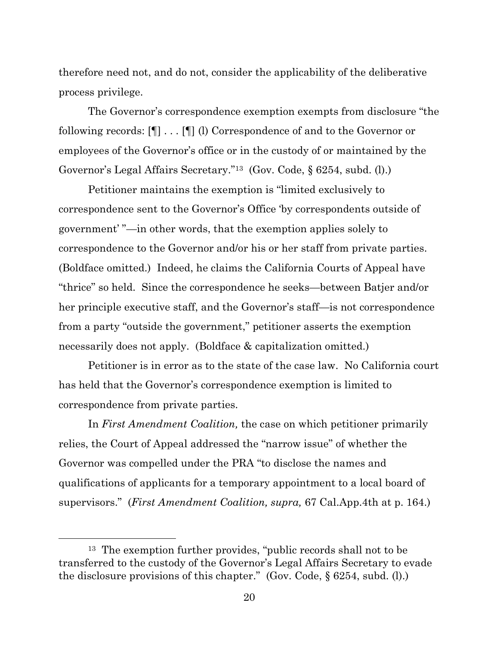therefore need not, and do not, consider the applicability of the deliberative process privilege.

The Governor's correspondence exemption exempts from disclosure "the following records: [¶] . . . [¶] (l) Correspondence of and to the Governor or employees of the Governor's office or in the custody of or maintained by the Governor's Legal Affairs Secretary."13 (Gov. Code, § 6254, subd. (l).)

Petitioner maintains the exemption is "limited exclusively to correspondence sent to the Governor's Office 'by correspondents outside of government' "—in other words, that the exemption applies solely to correspondence to the Governor and/or his or her staff from private parties. (Boldface omitted.) Indeed, he claims the California Courts of Appeal have "thrice" so held. Since the correspondence he seeks—between Batjer and/or her principle executive staff, and the Governor's staff—is not correspondence from a party "outside the government," petitioner asserts the exemption necessarily does not apply. (Boldface & capitalization omitted.)

Petitioner is in error as to the state of the case law. No California court has held that the Governor's correspondence exemption is limited to correspondence from private parties.

In *First Amendment Coalition,* the case on which petitioner primarily relies, the Court of Appeal addressed the "narrow issue" of whether the Governor was compelled under the PRA "to disclose the names and qualifications of applicants for a temporary appointment to a local board of supervisors." (*First Amendment Coalition, supra,* 67 Cal.App.4th at p. 164.)

<sup>13</sup> The exemption further provides, "public records shall not to be transferred to the custody of the Governor's Legal Affairs Secretary to evade the disclosure provisions of this chapter." (Gov. Code, § 6254, subd. (l).)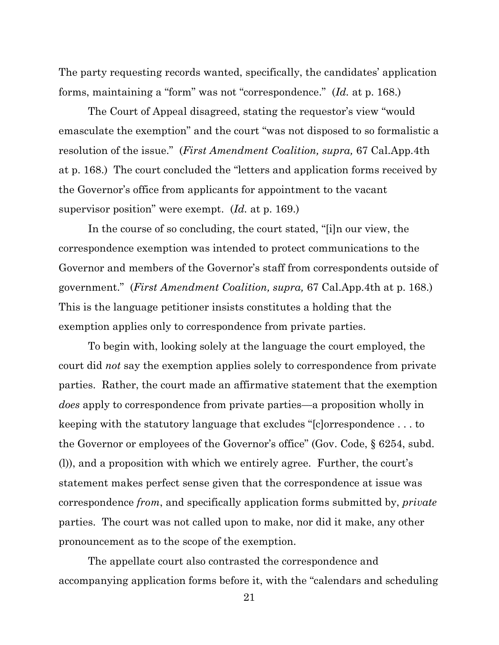The party requesting records wanted, specifically, the candidates' application forms, maintaining a "form" was not "correspondence." (*Id.* at p. 168.)

The Court of Appeal disagreed, stating the requestor's view "would emasculate the exemption" and the court "was not disposed to so formalistic a resolution of the issue." (*First Amendment Coalition, supra,* 67 Cal.App.4th at p. 168.) The court concluded the "letters and application forms received by the Governor's office from applicants for appointment to the vacant supervisor position" were exempt. (*Id.* at p. 169.)

In the course of so concluding, the court stated, "[i]n our view, the correspondence exemption was intended to protect communications to the Governor and members of the Governor's staff from correspondents outside of government." (*First Amendment Coalition, supra,* 67 Cal.App.4th at p. 168.) This is the language petitioner insists constitutes a holding that the exemption applies only to correspondence from private parties.

To begin with, looking solely at the language the court employed, the court did *not* say the exemption applies solely to correspondence from private parties. Rather, the court made an affirmative statement that the exemption *does* apply to correspondence from private parties—a proposition wholly in keeping with the statutory language that excludes "[c]orrespondence . . . to the Governor or employees of the Governor's office" (Gov. Code, § 6254, subd. (l)), and a proposition with which we entirely agree. Further, the court's statement makes perfect sense given that the correspondence at issue was correspondence *from*, and specifically application forms submitted by, *private*  parties. The court was not called upon to make, nor did it make, any other pronouncement as to the scope of the exemption.

The appellate court also contrasted the correspondence and accompanying application forms before it, with the "calendars and scheduling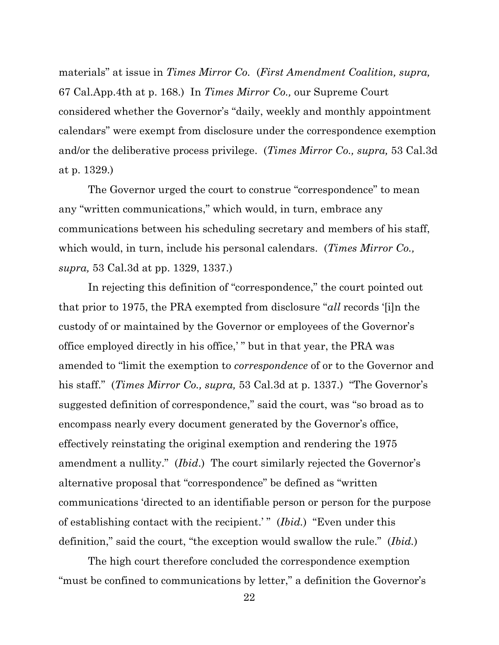materials" at issue in *Times Mirror Co.* (*First Amendment Coalition, supra,*  67 Cal.App.4th at p. 168.) In *Times Mirror Co.,* our Supreme Court considered whether the Governor's "daily, weekly and monthly appointment calendars" were exempt from disclosure under the correspondence exemption and/or the deliberative process privilege. (*Times Mirror Co., supra,* 53 Cal.3d at p. 1329.)

The Governor urged the court to construe "correspondence" to mean any "written communications," which would, in turn, embrace any communications between his scheduling secretary and members of his staff, which would, in turn, include his personal calendars. (*Times Mirror Co., supra,* 53 Cal.3d at pp. 1329, 1337.)

In rejecting this definition of "correspondence," the court pointed out that prior to 1975, the PRA exempted from disclosure "*all* records '[i]n the custody of or maintained by the Governor or employees of the Governor's office employed directly in his office,' " but in that year, the PRA was amended to "limit the exemption to *correspondence* of or to the Governor and his staff." (*Times Mirror Co., supra,* 53 Cal.3d at p. 1337.) "The Governor's suggested definition of correspondence," said the court, was "so broad as to encompass nearly every document generated by the Governor's office, effectively reinstating the original exemption and rendering the 1975 amendment a nullity." (*Ibid*.) The court similarly rejected the Governor's alternative proposal that "correspondence" be defined as "written communications 'directed to an identifiable person or person for the purpose of establishing contact with the recipient.' " (*Ibid.*) "Even under this definition," said the court, "the exception would swallow the rule." (*Ibid.*)

The high court therefore concluded the correspondence exemption "must be confined to communications by letter," a definition the Governor's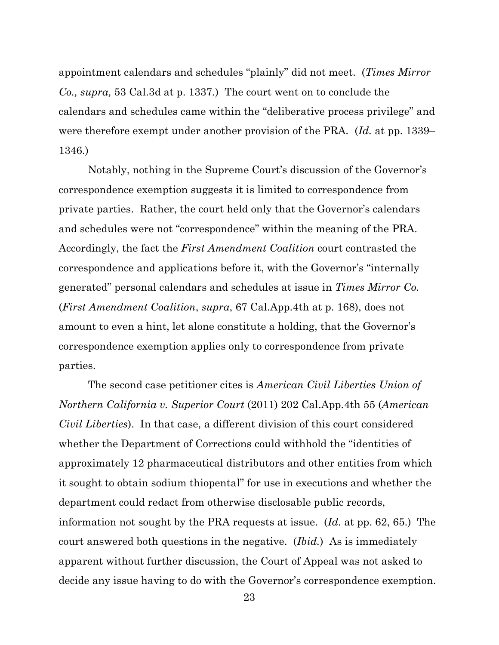appointment calendars and schedules "plainly" did not meet. (*Times Mirror Co., supra,* 53 Cal.3d at p. 1337*.*) The court went on to conclude the calendars and schedules came within the "deliberative process privilege" and were therefore exempt under another provision of the PRA. (*Id.* at pp. 1339– 1346.)

Notably, nothing in the Supreme Court's discussion of the Governor's correspondence exemption suggests it is limited to correspondence from private parties. Rather, the court held only that the Governor's calendars and schedules were not "correspondence" within the meaning of the PRA. Accordingly, the fact the *First Amendment Coalition* court contrasted the correspondence and applications before it, with the Governor's "internally generated" personal calendars and schedules at issue in *Times Mirror Co.* (*First Amendment Coalition*, *supra*, 67 Cal.App.4th at p. 168), does not amount to even a hint, let alone constitute a holding, that the Governor's correspondence exemption applies only to correspondence from private parties.

The second case petitioner cites is *American Civil Liberties Union of Northern California v. Superior Court* (2011) 202 Cal.App.4th 55 (*American Civil Liberties*). In that case, a different division of this court considered whether the Department of Corrections could withhold the "identities of approximately 12 pharmaceutical distributors and other entities from which it sought to obtain sodium thiopental" for use in executions and whether the department could redact from otherwise disclosable public records, information not sought by the PRA requests at issue. (*Id.* at pp. 62, 65.) The court answered both questions in the negative. (*Ibid.*) As is immediately apparent without further discussion, the Court of Appeal was not asked to decide any issue having to do with the Governor's correspondence exemption.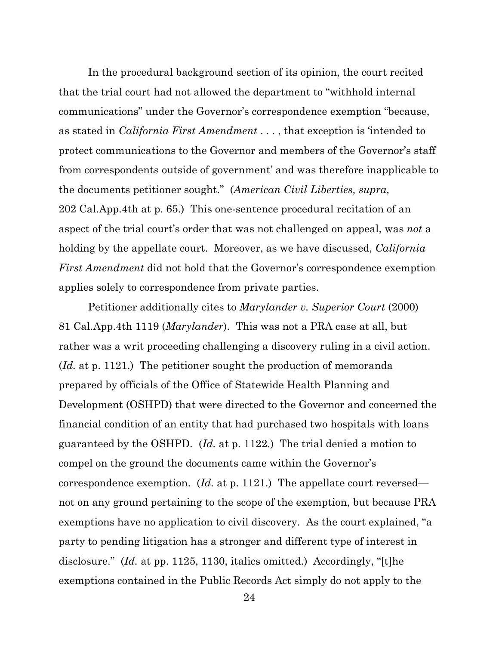In the procedural background section of its opinion, the court recited that the trial court had not allowed the department to "withhold internal communications" under the Governor's correspondence exemption "because, as stated in *California First Amendment* . . . , that exception is 'intended to protect communications to the Governor and members of the Governor's staff from correspondents outside of government' and was therefore inapplicable to the documents petitioner sought." (*American Civil Liberties, supra,* 202 Cal.App.4th at p. 65.) This one-sentence procedural recitation of an aspect of the trial court's order that was not challenged on appeal, was *not* a holding by the appellate court. Moreover, as we have discussed, *California First Amendment* did not hold that the Governor's correspondence exemption applies solely to correspondence from private parties.

Petitioner additionally cites to *Marylander v. Superior Court* (2000) 81 Cal.App.4th 1119 (*Marylander*). This was not a PRA case at all, but rather was a writ proceeding challenging a discovery ruling in a civil action. (*Id.* at p. 1121.) The petitioner sought the production of memoranda prepared by officials of the Office of Statewide Health Planning and Development (OSHPD) that were directed to the Governor and concerned the financial condition of an entity that had purchased two hospitals with loans guaranteed by the OSHPD. (*Id.* at p. 1122.) The trial denied a motion to compel on the ground the documents came within the Governor's correspondence exemption. (*Id.* at p. 1121.) The appellate court reversed not on any ground pertaining to the scope of the exemption, but because PRA exemptions have no application to civil discovery. As the court explained, "a party to pending litigation has a stronger and different type of interest in disclosure." *(Id. at pp. 1125, 1130, italics omitted.)* Accordingly, "[t]he exemptions contained in the Public Records Act simply do not apply to the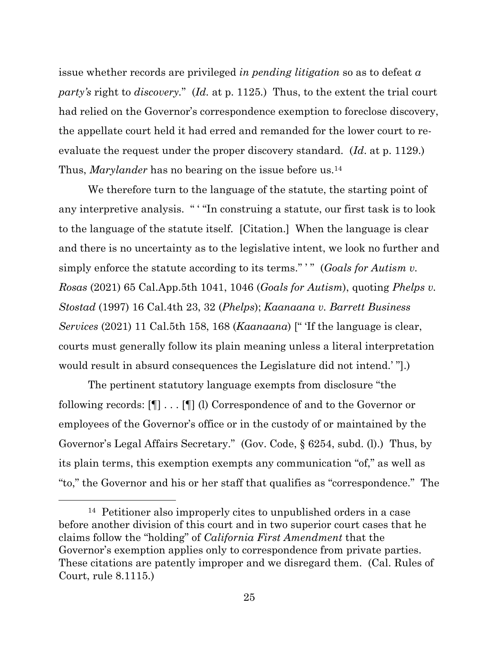issue whether records are privileged *in pending litigation* so as to defeat *a party's* right to *discovery.*" (*Id.* at p. 1125*.*) Thus, to the extent the trial court had relied on the Governor's correspondence exemption to foreclose discovery, the appellate court held it had erred and remanded for the lower court to reevaluate the request under the proper discovery standard. (*Id*. at p. 1129.) Thus, *Marylander* has no bearing on the issue before us.<sup>14</sup>

We therefore turn to the language of the statute, the starting point of any interpretive analysis. " ' "In construing a statute, our first task is to look to the language of the statute itself. [Citation.] When the language is clear and there is no uncertainty as to the legislative intent, we look no further and simply enforce the statute according to its terms."<sup>"</sup> (*Goals for Autism v*. *Rosas* (2021) 65 Cal.App.5th 1041, 1046 (*Goals for Autism*), quoting *Phelps v. Stostad* (1997) 16 Cal.4th 23, 32 (*Phelps*); *Kaanaana v. Barrett Business Services* (2021) 11 Cal.5th 158, 168 (*Kaanaana*) [" 'If the language is clear, courts must generally follow its plain meaning unless a literal interpretation would result in absurd consequences the Legislature did not intend.' "].)

The pertinent statutory language exempts from disclosure "the following records: [¶] . . . [¶] (l) Correspondence of and to the Governor or employees of the Governor's office or in the custody of or maintained by the Governor's Legal Affairs Secretary." (Gov. Code, § 6254, subd. (l).) Thus, by its plain terms, this exemption exempts any communication "of," as well as "to," the Governor and his or her staff that qualifies as "correspondence." The

<sup>14</sup> Petitioner also improperly cites to unpublished orders in a case before another division of this court and in two superior court cases that he claims follow the "holding" of *California First Amendment* that the Governor's exemption applies only to correspondence from private parties. These citations are patently improper and we disregard them. (Cal. Rules of Court, rule 8.1115.)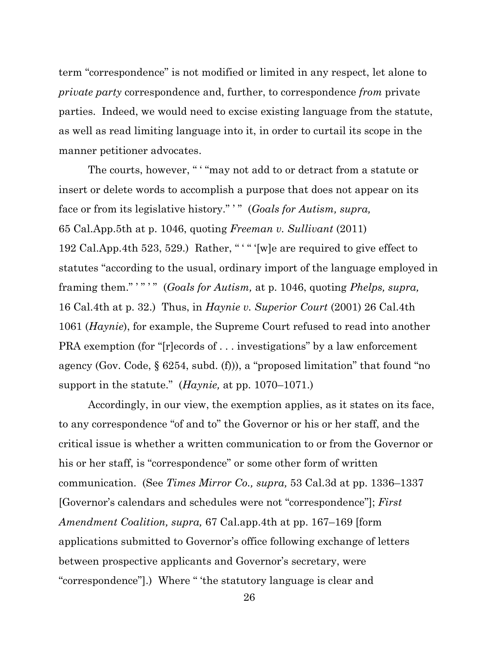term "correspondence" is not modified or limited in any respect, let alone to *private party* correspondence and, further, to correspondence *from* private parties. Indeed, we would need to excise existing language from the statute, as well as read limiting language into it, in order to curtail its scope in the manner petitioner advocates.

The courts, however, " ' "may not add to or detract from a statute or insert or delete words to accomplish a purpose that does not appear on its face or from its legislative history."<sup>"</sup> (*Goals for Autism, supra,* 65 Cal.App.5th at p. 1046, quoting *Freeman v. Sullivant* (2011) 192 Cal.App.4th 523, 529.) Rather, " ' " '[w]e are required to give effect to statutes "according to the usual, ordinary import of the language employed in framing them."""" (*Goals for Autism*, at p. 1046, quoting *Phelps*, *supra*, 16 Cal.4th at p. 32.) Thus, in *Haynie v. Superior Court* (2001) 26 Cal.4th 1061 (*Haynie*), for example, the Supreme Court refused to read into another PRA exemption (for "[r]ecords of . . . investigations" by a law enforcement agency (Gov. Code, § 6254, subd. (f))), a "proposed limitation" that found "no support in the statute." (*Haynie,* at pp. 1070–1071.)

Accordingly, in our view, the exemption applies, as it states on its face, to any correspondence "of and to" the Governor or his or her staff, and the critical issue is whether a written communication to or from the Governor or his or her staff, is "correspondence" or some other form of written communication. (See *Times Mirror Co., supra,* 53 Cal.3d at pp. 1336–1337 [Governor's calendars and schedules were not "correspondence"]; *First Amendment Coalition, supra,* 67 Cal.app.4th at pp. 167–169 [form applications submitted to Governor's office following exchange of letters between prospective applicants and Governor's secretary, were "correspondence"].) Where " 'the statutory language is clear and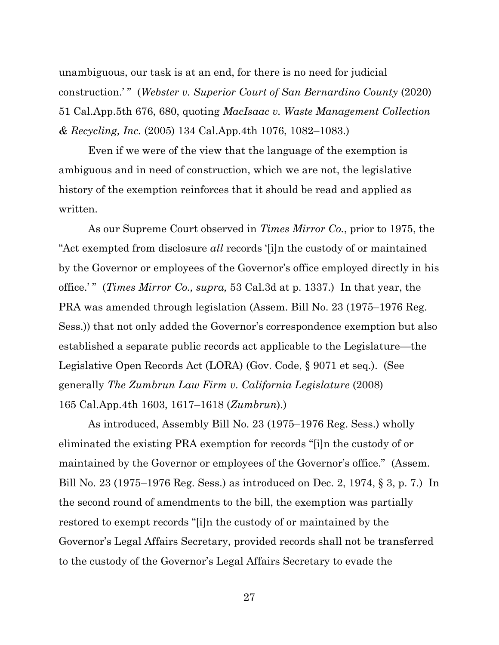unambiguous, our task is at an end, for there is no need for judicial construction.' " (*Webster v. Superior Court of San Bernardino County* (2020) 51 Cal.App.5th 676, 680, quoting *MacIsaac v. Waste Management Collection & Recycling, Inc.* (2005) 134 Cal.App.4th 1076, 1082–1083.)

Even if we were of the view that the language of the exemption is ambiguous and in need of construction, which we are not, the legislative history of the exemption reinforces that it should be read and applied as written.

As our Supreme Court observed in *Times Mirror Co.*, prior to 1975, the "Act exempted from disclosure *all* records '[i]n the custody of or maintained by the Governor or employees of the Governor's office employed directly in his office.' " (*Times Mirror Co., supra,* 53 Cal.3d at p. 1337.) In that year, the PRA was amended through legislation (Assem. Bill No. 23 (1975–1976 Reg. Sess.)) that not only added the Governor's correspondence exemption but also established a separate public records act applicable to the Legislature—the Legislative Open Records Act (LORA) (Gov. Code, § 9071 et seq.). (See generally *The Zumbrun Law Firm v. California Legislature* (2008) 165 Cal.App.4th 1603, 1617–1618 (*Zumbrun*).)

As introduced, Assembly Bill No. 23 (1975–1976 Reg. Sess.) wholly eliminated the existing PRA exemption for records "[i]n the custody of or maintained by the Governor or employees of the Governor's office." (Assem. Bill No. 23 (1975–1976 Reg. Sess.) as introduced on Dec. 2, 1974, § 3, p. 7.) In the second round of amendments to the bill, the exemption was partially restored to exempt records "[i]n the custody of or maintained by the Governor's Legal Affairs Secretary, provided records shall not be transferred to the custody of the Governor's Legal Affairs Secretary to evade the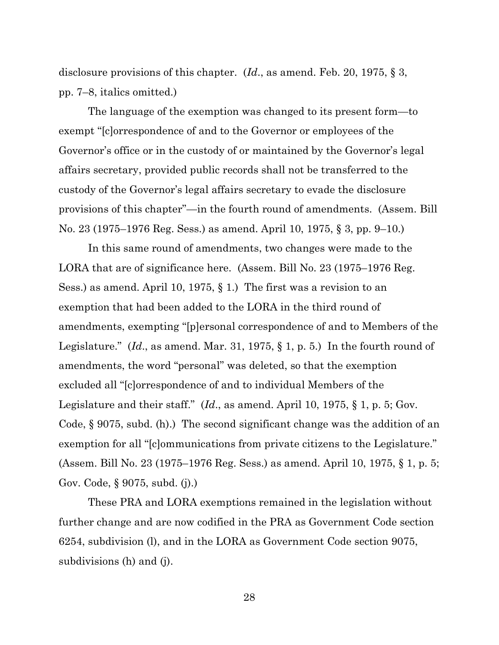disclosure provisions of this chapter. (*Id*., as amend. Feb. 20, 1975, § 3, pp. 7–8, italics omitted.)

The language of the exemption was changed to its present form—to exempt "[c]orrespondence of and to the Governor or employees of the Governor's office or in the custody of or maintained by the Governor's legal affairs secretary, provided public records shall not be transferred to the custody of the Governor's legal affairs secretary to evade the disclosure provisions of this chapter"—in the fourth round of amendments. (Assem. Bill No. 23 (1975–1976 Reg. Sess.) as amend. April 10, 1975, § 3, pp. 9–10.)

In this same round of amendments, two changes were made to the LORA that are of significance here. (Assem. Bill No. 23 (1975–1976 Reg. Sess.) as amend. April 10, 1975, § 1.) The first was a revision to an exemption that had been added to the LORA in the third round of amendments, exempting "[p]ersonal correspondence of and to Members of the Legislature." (*Id*., as amend. Mar. 31, 1975, § 1, p. 5.) In the fourth round of amendments, the word "personal" was deleted, so that the exemption excluded all "[c]orrespondence of and to individual Members of the Legislature and their staff." (*Id*., as amend. April 10, 1975, § 1, p. 5; Gov. Code, § 9075, subd. (h).) The second significant change was the addition of an exemption for all "[c]ommunications from private citizens to the Legislature." (Assem. Bill No. 23 (1975–1976 Reg. Sess.) as amend. April 10, 1975, § 1, p. 5; Gov. Code, § 9075, subd. (j).)

These PRA and LORA exemptions remained in the legislation without further change and are now codified in the PRA as Government Code section 6254, subdivision (l), and in the LORA as Government Code section 9075, subdivisions (h) and (j).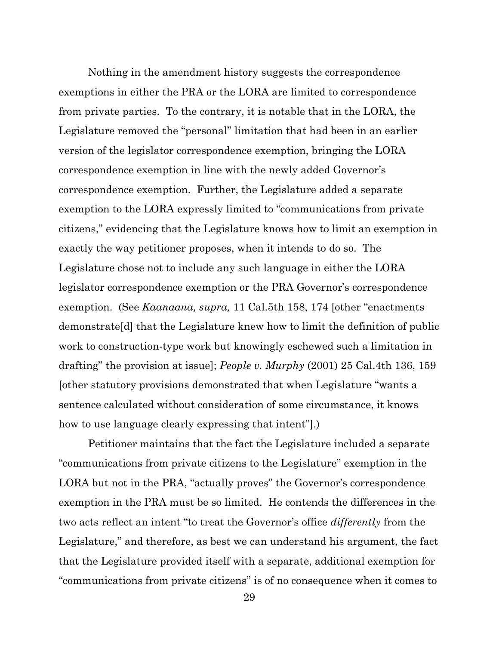Nothing in the amendment history suggests the correspondence exemptions in either the PRA or the LORA are limited to correspondence from private parties. To the contrary, it is notable that in the LORA, the Legislature removed the "personal" limitation that had been in an earlier version of the legislator correspondence exemption, bringing the LORA correspondence exemption in line with the newly added Governor's correspondence exemption. Further, the Legislature added a separate exemption to the LORA expressly limited to "communications from private citizens," evidencing that the Legislature knows how to limit an exemption in exactly the way petitioner proposes, when it intends to do so. The Legislature chose not to include any such language in either the LORA legislator correspondence exemption or the PRA Governor's correspondence exemption. (See *Kaanaana, supra,* 11 Cal.5th 158, 174 [other "enactments demonstrate[d] that the Legislature knew how to limit the definition of public work to construction-type work but knowingly eschewed such a limitation in drafting" the provision at issue]; *People v. Murphy* (2001) 25 Cal.4th 136, 159 [other statutory provisions demonstrated that when Legislature "wants a sentence calculated without consideration of some circumstance, it knows how to use language clearly expressing that intent"].)

Petitioner maintains that the fact the Legislature included a separate "communications from private citizens to the Legislature" exemption in the LORA but not in the PRA, "actually proves" the Governor's correspondence exemption in the PRA must be so limited. He contends the differences in the two acts reflect an intent "to treat the Governor's office *differently* from the Legislature," and therefore, as best we can understand his argument, the fact that the Legislature provided itself with a separate, additional exemption for "communications from private citizens" is of no consequence when it comes to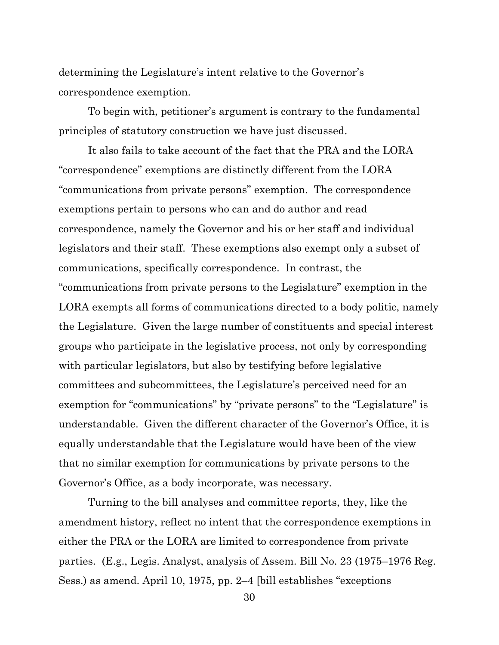determining the Legislature's intent relative to the Governor's correspondence exemption.

To begin with, petitioner's argument is contrary to the fundamental principles of statutory construction we have just discussed.

It also fails to take account of the fact that the PRA and the LORA "correspondence" exemptions are distinctly different from the LORA "communications from private persons" exemption. The correspondence exemptions pertain to persons who can and do author and read correspondence, namely the Governor and his or her staff and individual legislators and their staff. These exemptions also exempt only a subset of communications, specifically correspondence. In contrast, the "communications from private persons to the Legislature" exemption in the LORA exempts all forms of communications directed to a body politic, namely the Legislature. Given the large number of constituents and special interest groups who participate in the legislative process, not only by corresponding with particular legislators, but also by testifying before legislative committees and subcommittees, the Legislature's perceived need for an exemption for "communications" by "private persons" to the "Legislature" is understandable. Given the different character of the Governor's Office, it is equally understandable that the Legislature would have been of the view that no similar exemption for communications by private persons to the Governor's Office, as a body incorporate, was necessary.

Turning to the bill analyses and committee reports, they, like the amendment history, reflect no intent that the correspondence exemptions in either the PRA or the LORA are limited to correspondence from private parties. (E.g., Legis. Analyst, analysis of Assem. Bill No. 23 (1975–1976 Reg. Sess.) as amend. April 10, 1975, pp. 2–4 [bill establishes "exceptions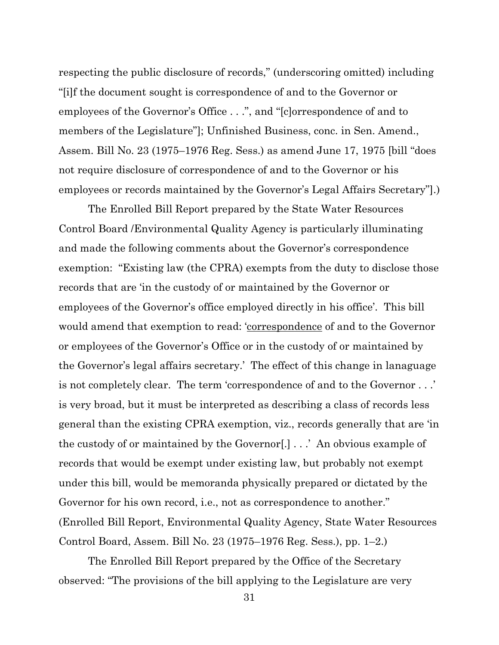respecting the public disclosure of records," (underscoring omitted) including "[i]f the document sought is correspondence of and to the Governor or employees of the Governor's Office . . .", and "[c]orrespondence of and to members of the Legislature"]; Unfinished Business, conc. in Sen. Amend., Assem. Bill No. 23 (1975–1976 Reg. Sess.) as amend June 17, 1975 [bill "does not require disclosure of correspondence of and to the Governor or his employees or records maintained by the Governor's Legal Affairs Secretary"].)

The Enrolled Bill Report prepared by the State Water Resources Control Board /Environmental Quality Agency is particularly illuminating and made the following comments about the Governor's correspondence exemption: "Existing law (the CPRA) exempts from the duty to disclose those records that are 'in the custody of or maintained by the Governor or employees of the Governor's office employed directly in his office'. This bill would amend that exemption to read: 'correspondence of and to the Governor or employees of the Governor's Office or in the custody of or maintained by the Governor's legal affairs secretary.' The effect of this change in lanaguage is not completely clear. The term 'correspondence of and to the Governor . . .' is very broad, but it must be interpreted as describing a class of records less general than the existing CPRA exemption, viz., records generally that are 'in the custody of or maintained by the Governor[.] . . .' An obvious example of records that would be exempt under existing law, but probably not exempt under this bill, would be memoranda physically prepared or dictated by the Governor for his own record, i.e., not as correspondence to another." (Enrolled Bill Report, Environmental Quality Agency, State Water Resources Control Board, Assem. Bill No. 23 (1975–1976 Reg. Sess.), pp. 1–2.)

The Enrolled Bill Report prepared by the Office of the Secretary observed: "The provisions of the bill applying to the Legislature are very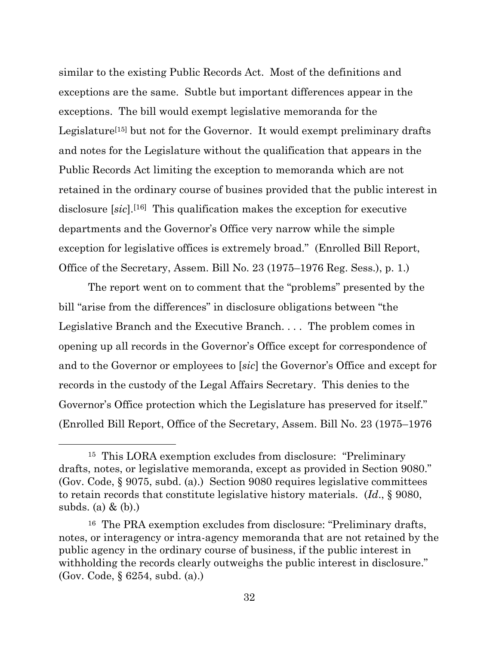similar to the existing Public Records Act. Most of the definitions and exceptions are the same. Subtle but important differences appear in the exceptions. The bill would exempt legislative memoranda for the Legislature<sup>[15]</sup> but not for the Governor. It would exempt preliminary drafts and notes for the Legislature without the qualification that appears in the Public Records Act limiting the exception to memoranda which are not retained in the ordinary course of busines provided that the public interest in disclosure [sic].<sup>[16]</sup> This qualification makes the exception for executive departments and the Governor's Office very narrow while the simple exception for legislative offices is extremely broad." (Enrolled Bill Report, Office of the Secretary, Assem. Bill No. 23 (1975–1976 Reg. Sess.), p. 1.)

The report went on to comment that the "problems" presented by the bill "arise from the differences" in disclosure obligations between "the Legislative Branch and the Executive Branch. . . . The problem comes in opening up all records in the Governor's Office except for correspondence of and to the Governor or employees to [*sic*] the Governor's Office and except for records in the custody of the Legal Affairs Secretary. This denies to the Governor's Office protection which the Legislature has preserved for itself." (Enrolled Bill Report, Office of the Secretary, Assem. Bill No. 23 (1975–1976

<sup>15</sup> This LORA exemption excludes from disclosure: "Preliminary drafts, notes, or legislative memoranda, except as provided in Section 9080." (Gov. Code, § 9075, subd. (a).) Section 9080 requires legislative committees to retain records that constitute legislative history materials. (*Id*., § 9080, subds. (a) & (b).)

<sup>16</sup> The PRA exemption excludes from disclosure: "Preliminary drafts, notes, or interagency or intra-agency memoranda that are not retained by the public agency in the ordinary course of business, if the public interest in withholding the records clearly outweighs the public interest in disclosure." (Gov. Code, § 6254, subd. (a).)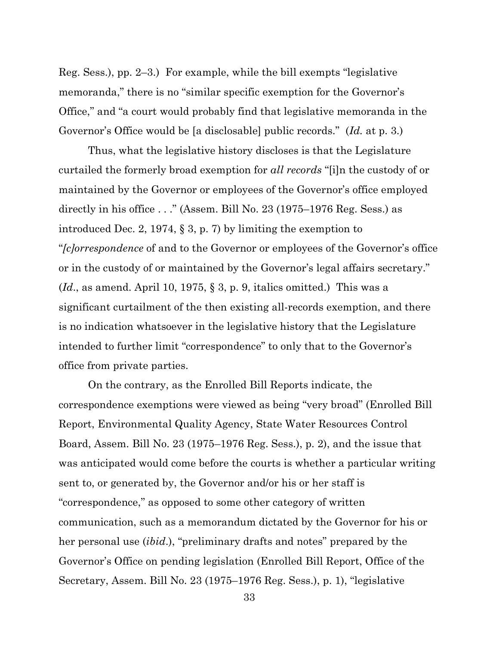Reg. Sess.), pp. 2–3.) For example, while the bill exempts "legislative memoranda," there is no "similar specific exemption for the Governor's Office," and "a court would probably find that legislative memoranda in the Governor's Office would be [a disclosable] public records." (*Id.* at p. 3.)

Thus, what the legislative history discloses is that the Legislature curtailed the formerly broad exemption for *all records* "[i]n the custody of or maintained by the Governor or employees of the Governor's office employed directly in his office . . ." (Assem. Bill No. 23 (1975–1976 Reg. Sess.) as introduced Dec. 2, 1974, § 3, p. 7) by limiting the exemption to "*[c]orrespondence* of and to the Governor or employees of the Governor's office or in the custody of or maintained by the Governor's legal affairs secretary." (*Id*., as amend. April 10, 1975, § 3, p. 9, italics omitted.) This was a significant curtailment of the then existing all-records exemption, and there is no indication whatsoever in the legislative history that the Legislature intended to further limit "correspondence" to only that to the Governor's office from private parties.

On the contrary, as the Enrolled Bill Reports indicate, the correspondence exemptions were viewed as being "very broad" (Enrolled Bill Report, Environmental Quality Agency, State Water Resources Control Board, Assem. Bill No. 23 (1975–1976 Reg. Sess.), p. 2), and the issue that was anticipated would come before the courts is whether a particular writing sent to, or generated by, the Governor and/or his or her staff is "correspondence," as opposed to some other category of written communication, such as a memorandum dictated by the Governor for his or her personal use (*ibid*.), "preliminary drafts and notes" prepared by the Governor's Office on pending legislation (Enrolled Bill Report, Office of the Secretary, Assem. Bill No. 23 (1975–1976 Reg. Sess.), p. 1), "legislative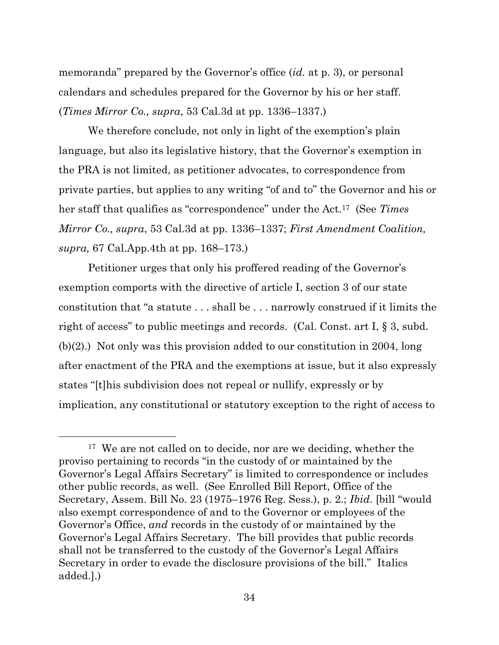memoranda" prepared by the Governor's office (*id.* at p. 3), or personal calendars and schedules prepared for the Governor by his or her staff. (*Times Mirror Co., supra*, 53 Cal.3d at pp. 1336–1337.)

We therefore conclude, not only in light of the exemption's plain language, but also its legislative history, that the Governor's exemption in the PRA is not limited, as petitioner advocates, to correspondence from private parties, but applies to any writing "of and to" the Governor and his or her staff that qualifies as "correspondence" under the Act.17 (See *Times Mirror Co., supra*, 53 Cal.3d at pp. 1336–1337; *First Amendment Coalition, supra,* 67 Cal.App.4th at pp. 168–173.)

Petitioner urges that only his proffered reading of the Governor's exemption comports with the directive of article I, section 3 of our state constitution that "a statute . . . shall be . . . narrowly construed if it limits the right of access" to public meetings and records. (Cal. Const. art I, § 3, subd. (b)(2).) Not only was this provision added to our constitution in 2004, long after enactment of the PRA and the exemptions at issue, but it also expressly states "[t]his subdivision does not repeal or nullify, expressly or by implication, any constitutional or statutory exception to the right of access to

<sup>&</sup>lt;sup>17</sup> We are not called on to decide, nor are we deciding, whether the proviso pertaining to records "in the custody of or maintained by the Governor's Legal Affairs Secretary" is limited to correspondence or includes other public records, as well. (See Enrolled Bill Report, Office of the Secretary, Assem. Bill No. 23 (1975–1976 Reg. Sess.), p. 2.; *Ibid*. [bill "would also exempt correspondence of and to the Governor or employees of the Governor's Office, *and* records in the custody of or maintained by the Governor's Legal Affairs Secretary. The bill provides that public records shall not be transferred to the custody of the Governor's Legal Affairs Secretary in order to evade the disclosure provisions of the bill." Italics added.].)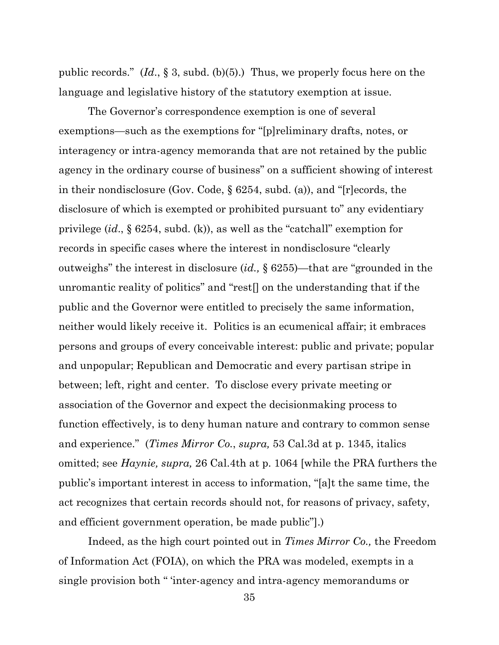public records." (*Id*., § 3, subd. (b)(5).) Thus, we properly focus here on the language and legislative history of the statutory exemption at issue.

The Governor's correspondence exemption is one of several exemptions—such as the exemptions for "[p]reliminary drafts, notes, or interagency or intra-agency memoranda that are not retained by the public agency in the ordinary course of business" on a sufficient showing of interest in their nondisclosure (Gov. Code, § 6254, subd. (a)), and "[r]ecords, the disclosure of which is exempted or prohibited pursuant to" any evidentiary privilege (*id*., § 6254, subd. (k)), as well as the "catchall" exemption for records in specific cases where the interest in nondisclosure "clearly outweighs" the interest in disclosure (*id.,* § 6255)—that are "grounded in the unromantic reality of politics" and "rest[] on the understanding that if the public and the Governor were entitled to precisely the same information, neither would likely receive it. Politics is an ecumenical affair; it embraces persons and groups of every conceivable interest: public and private; popular and unpopular; Republican and Democratic and every partisan stripe in between; left, right and center. To disclose every private meeting or association of the Governor and expect the decisionmaking process to function effectively, is to deny human nature and contrary to common sense and experience." (*Times Mirror Co.*, *supra,* 53 Cal.3d at p. 1345, italics omitted; see *Haynie, supra,* 26 Cal.4th at p. 1064 [while the PRA furthers the public's important interest in access to information, "[a]t the same time, the act recognizes that certain records should not, for reasons of privacy, safety, and efficient government operation, be made public"].)

Indeed, as the high court pointed out in *Times Mirror Co.,* the Freedom of Information Act (FOIA), on which the PRA was modeled, exempts in a single provision both " 'inter-agency and intra-agency memorandums or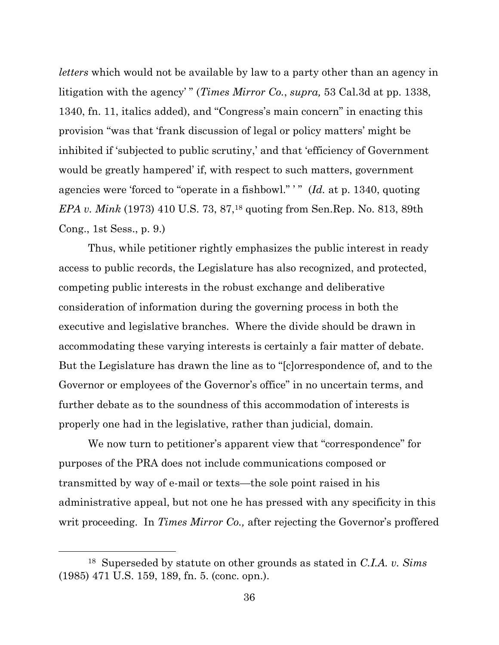*letters* which would not be available by law to a party other than an agency in litigation with the agency' " (*Times Mirror Co.*, *supra,* 53 Cal.3d at pp. 1338, 1340, fn. 11, italics added), and "Congress's main concern" in enacting this provision "was that 'frank discussion of legal or policy matters' might be inhibited if 'subjected to public scrutiny,' and that 'efficiency of Government would be greatly hampered' if, with respect to such matters, government agencies were 'forced to "operate in a fishbowl." ' " (*Id.* at p. 1340, quoting *EPA v. Mink* (1973) 410 U.S. 73, 87,<sup>18</sup> quoting from Sen.Rep. No. 813, 89th Cong., 1st Sess., p. 9.)

Thus, while petitioner rightly emphasizes the public interest in ready access to public records, the Legislature has also recognized, and protected, competing public interests in the robust exchange and deliberative consideration of information during the governing process in both the executive and legislative branches. Where the divide should be drawn in accommodating these varying interests is certainly a fair matter of debate. But the Legislature has drawn the line as to "[c]orrespondence of, and to the Governor or employees of the Governor's office" in no uncertain terms, and further debate as to the soundness of this accommodation of interests is properly one had in the legislative, rather than judicial, domain.

We now turn to petitioner's apparent view that "correspondence" for purposes of the PRA does not include communications composed or transmitted by way of e-mail or texts—the sole point raised in his administrative appeal, but not one he has pressed with any specificity in this writ proceeding. In *Times Mirror Co.,* after rejecting the Governor's proffered

<sup>18</sup> Superseded by statute on other grounds as stated in *C.I.A. v. Sims* (1985) 471 U.S. 159, 189, fn. 5. (conc. opn.).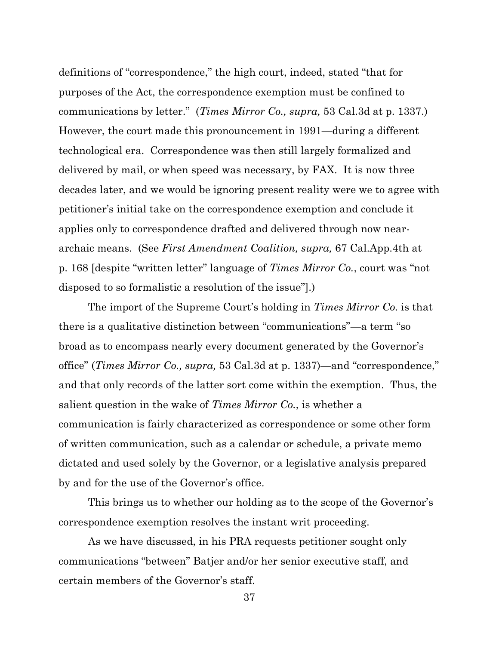definitions of "correspondence," the high court, indeed, stated "that for purposes of the Act, the correspondence exemption must be confined to communications by letter." (*Times Mirror Co., supra,* 53 Cal.3d at p. 1337.) However, the court made this pronouncement in 1991—during a different technological era. Correspondence was then still largely formalized and delivered by mail, or when speed was necessary, by FAX. It is now three decades later, and we would be ignoring present reality were we to agree with petitioner's initial take on the correspondence exemption and conclude it applies only to correspondence drafted and delivered through now neararchaic means. (See *First Amendment Coalition, supra,* 67 Cal.App.4th at p. 168 [despite "written letter" language of *Times Mirror Co.*, court was "not disposed to so formalistic a resolution of the issue"].)

The import of the Supreme Court's holding in *Times Mirror Co.* is that there is a qualitative distinction between "communications"—a term "so broad as to encompass nearly every document generated by the Governor's office" (*Times Mirror Co., supra,* 53 Cal.3d at p. 1337)—and "correspondence," and that only records of the latter sort come within the exemption. Thus, the salient question in the wake of *Times Mirror Co.*, is whether a communication is fairly characterized as correspondence or some other form of written communication, such as a calendar or schedule, a private memo dictated and used solely by the Governor, or a legislative analysis prepared by and for the use of the Governor's office.

This brings us to whether our holding as to the scope of the Governor's correspondence exemption resolves the instant writ proceeding.

As we have discussed, in his PRA requests petitioner sought only communications "between" Batjer and/or her senior executive staff, and certain members of the Governor's staff.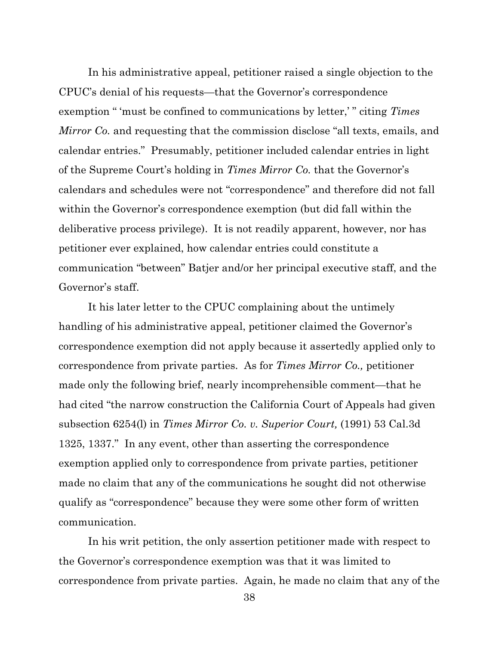In his administrative appeal, petitioner raised a single objection to the CPUC's denial of his requests—that the Governor's correspondence exemption " 'must be confined to communications by letter,' " citing *Times Mirror Co.* and requesting that the commission disclose "all texts, emails, and calendar entries." Presumably, petitioner included calendar entries in light of the Supreme Court's holding in *Times Mirror Co.* that the Governor's calendars and schedules were not "correspondence" and therefore did not fall within the Governor's correspondence exemption (but did fall within the deliberative process privilege). It is not readily apparent, however, nor has petitioner ever explained, how calendar entries could constitute a communication "between" Batjer and/or her principal executive staff, and the Governor's staff.

It his later letter to the CPUC complaining about the untimely handling of his administrative appeal, petitioner claimed the Governor's correspondence exemption did not apply because it assertedly applied only to correspondence from private parties. As for *Times Mirror Co.,* petitioner made only the following brief, nearly incomprehensible comment—that he had cited "the narrow construction the California Court of Appeals had given subsection 6254(l) in *Times Mirror Co. v. Superior Court,* (1991) 53 Cal.3d 1325, 1337." In any event, other than asserting the correspondence exemption applied only to correspondence from private parties, petitioner made no claim that any of the communications he sought did not otherwise qualify as "correspondence" because they were some other form of written communication.

In his writ petition, the only assertion petitioner made with respect to the Governor's correspondence exemption was that it was limited to correspondence from private parties. Again, he made no claim that any of the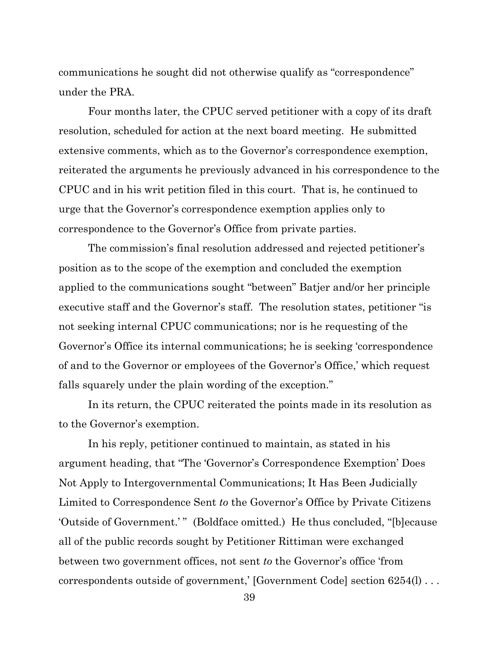communications he sought did not otherwise qualify as "correspondence" under the PRA.

Four months later, the CPUC served petitioner with a copy of its draft resolution, scheduled for action at the next board meeting. He submitted extensive comments, which as to the Governor's correspondence exemption, reiterated the arguments he previously advanced in his correspondence to the CPUC and in his writ petition filed in this court. That is, he continued to urge that the Governor's correspondence exemption applies only to correspondence to the Governor's Office from private parties.

The commission's final resolution addressed and rejected petitioner's position as to the scope of the exemption and concluded the exemption applied to the communications sought "between" Batjer and/or her principle executive staff and the Governor's staff. The resolution states, petitioner "is not seeking internal CPUC communications; nor is he requesting of the Governor's Office its internal communications; he is seeking 'correspondence of and to the Governor or employees of the Governor's Office,' which request falls squarely under the plain wording of the exception."

In its return, the CPUC reiterated the points made in its resolution as to the Governor's exemption.

In his reply, petitioner continued to maintain, as stated in his argument heading, that "The 'Governor's Correspondence Exemption' Does Not Apply to Intergovernmental Communications; It Has Been Judicially Limited to Correspondence Sent *to* the Governor's Office by Private Citizens 'Outside of Government.'" (Boldface omitted.) He thus concluded, "[b]ecause all of the public records sought by Petitioner Rittiman were exchanged between two government offices, not sent *to* the Governor's office 'from correspondents outside of government,' [Government Code] section 6254(l) . . .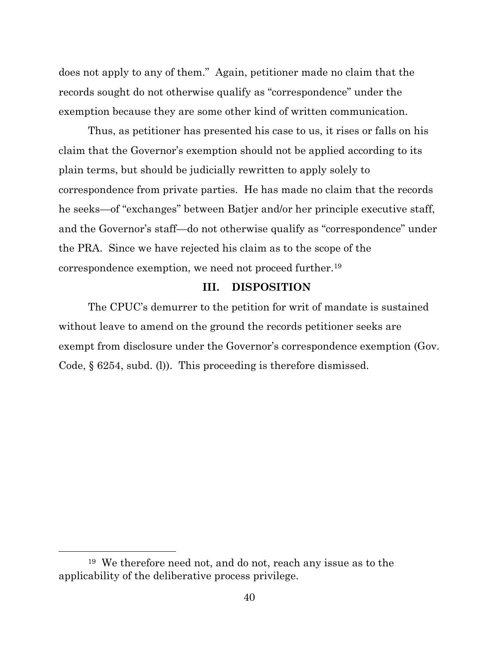does not apply to any of them." Again, petitioner made no claim that the records sought do not otherwise qualify as "correspondence" under the exemption because they are some other kind of written communication.

Thus, as petitioner has presented his case to us, it rises or falls on his claim that the Governor's exemption should not be applied according to its plain terms, but should be judicially rewritten to apply solely to correspondence from private parties. He has made no claim that the records he seeks—of "exchanges" between Batjer and/or her principle executive staff, and the Governor's staff—do not otherwise qualify as "correspondence" under the PRA. Since we have rejected his claim as to the scope of the correspondence exemption, we need not proceed further. 19

### **III. DISPOSITION**

The CPUC's demurrer to the petition for writ of mandate is sustained without leave to amend on the ground the records petitioner seeks are exempt from disclosure under the Governor's correspondence exemption (Gov. Code, § 6254, subd. (l)). This proceeding is therefore dismissed.

<sup>19</sup> We therefore need not, and do not, reach any issue as to the applicability of the deliberative process privilege.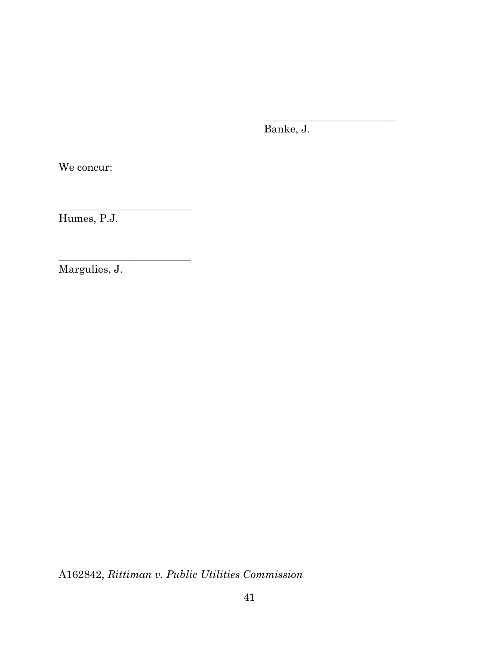Banke, J.

\_\_\_\_\_\_\_\_\_\_\_\_\_\_\_\_\_\_\_\_\_\_\_\_\_

We concur:

Humes, P.J.

\_\_\_\_\_\_\_\_\_\_\_\_\_\_\_\_\_\_\_\_\_\_\_\_\_

\_\_\_\_\_\_\_\_\_\_\_\_\_\_\_\_\_\_\_\_\_\_\_\_\_

Margulies, J.

A162842, *Rittiman v. Public Utilities Commission*